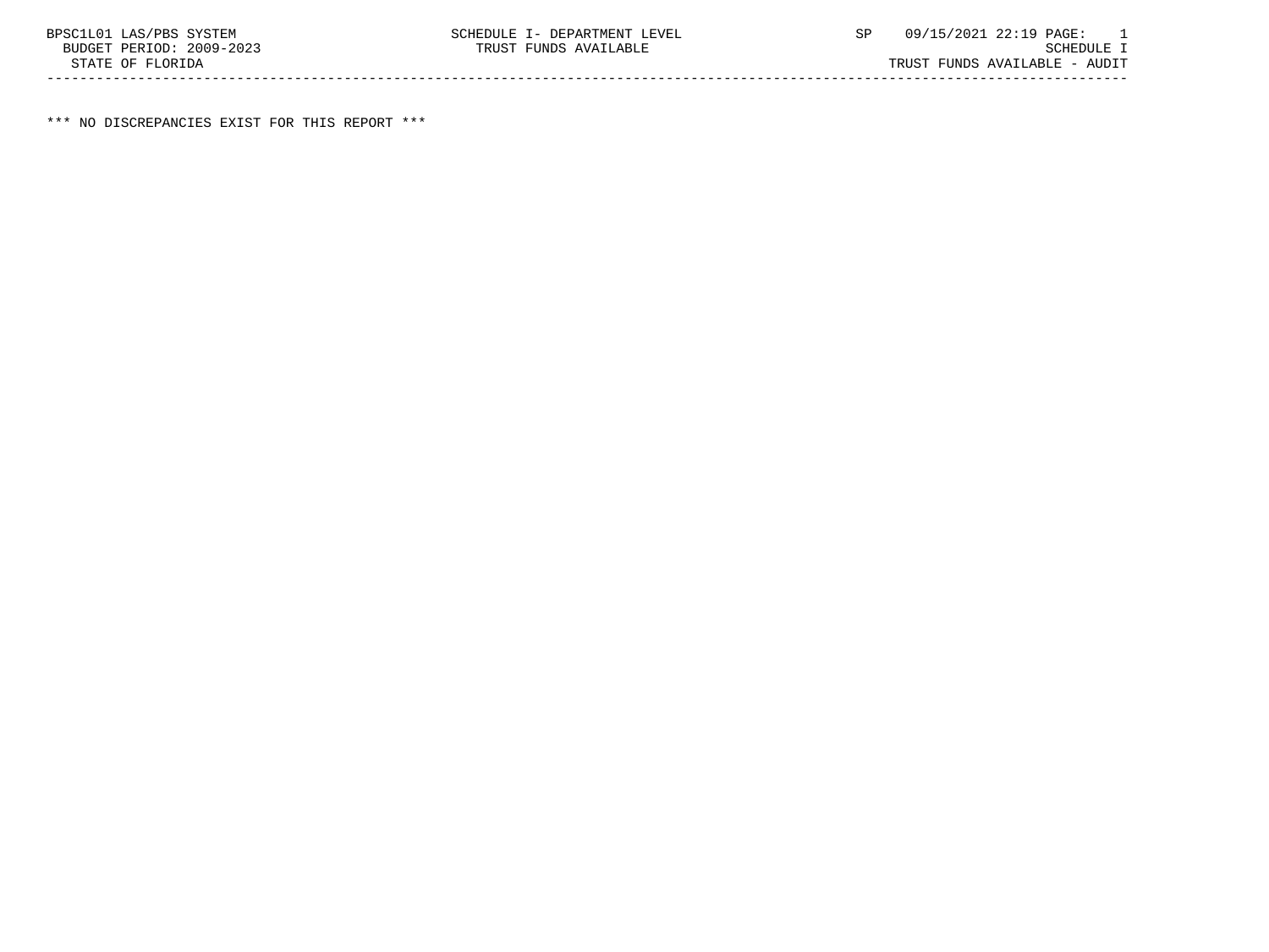\*\*\* NO DISCREPANCIES EXIST FOR THIS REPORT \*\*\*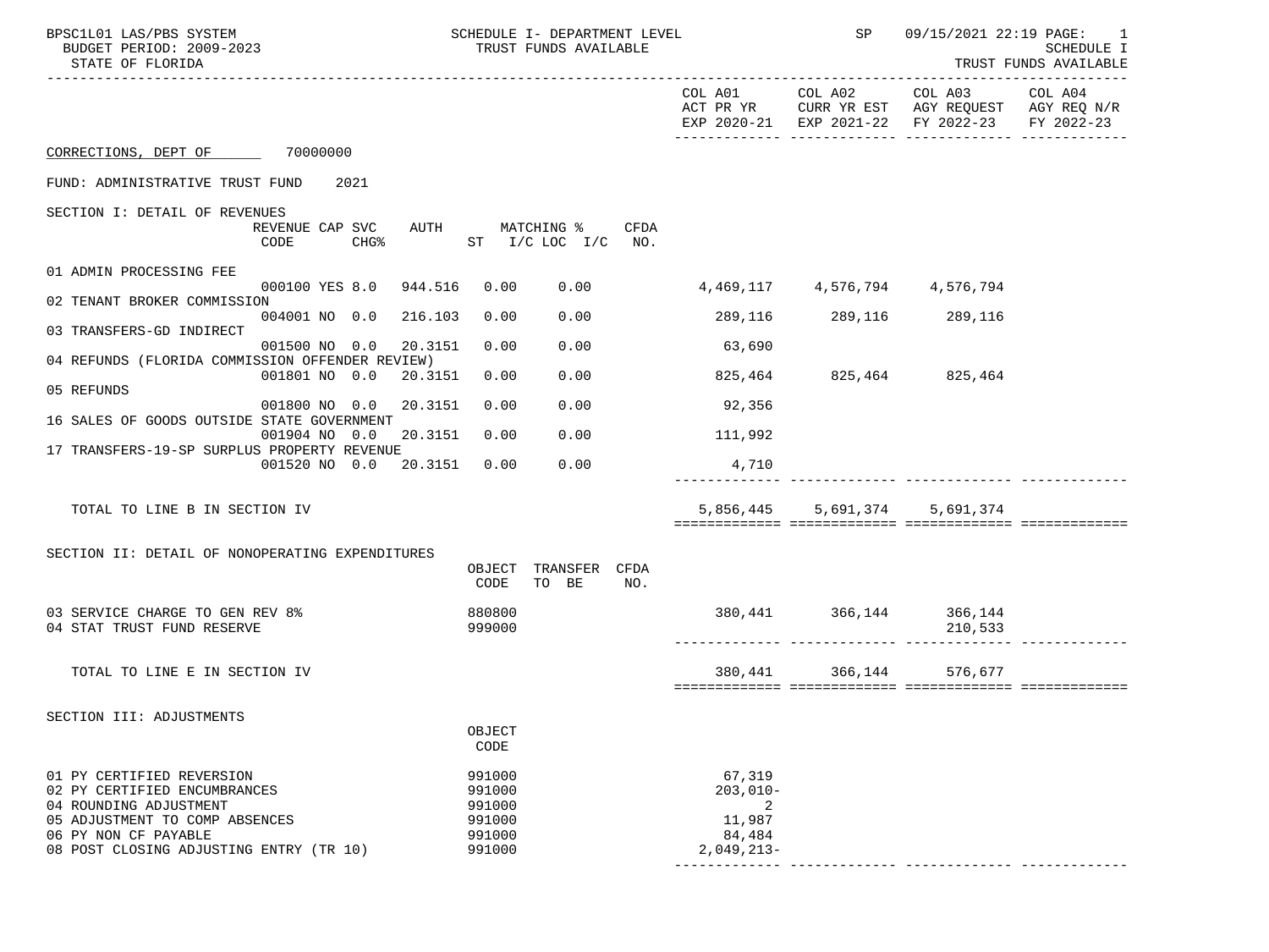| BPSC1L01 LAS/PBS SYSTEM<br>BUDGET PERIOD: 2009-2023<br>STATE OF FLORIDA                                               | SCHEDULE I- DEPARTMENT LEVEL<br>TRUST FUNDS AVAILABLE |                                      |                         | SP 09/15/2021 22:19 PAGE: 1                                                                                    | SCHEDULE I<br>TRUST FUNDS AVAILABLE |
|-----------------------------------------------------------------------------------------------------------------------|-------------------------------------------------------|--------------------------------------|-------------------------|----------------------------------------------------------------------------------------------------------------|-------------------------------------|
|                                                                                                                       |                                                       |                                      |                         | COL A01 COL A02 COL A03<br>ACT PR YR CURR YR EST AGY REQUEST AGY REQ N/R<br>EXP 2020-21 EXP 2021-22 FY 2022-23 | COL A04<br>FY 2022-23               |
| CORRECTIONS, DEPT OF 70000000                                                                                         |                                                       |                                      |                         |                                                                                                                |                                     |
| FUND: ADMINISTRATIVE TRUST FUND<br>2021                                                                               |                                                       |                                      |                         |                                                                                                                |                                     |
| SECTION I: DETAIL OF REVENUES                                                                                         |                                                       |                                      |                         |                                                                                                                |                                     |
| REVENUE CAP SVC<br>CHG <sup>8</sup><br>CODE                                                                           | AUTH MATCHING %<br>CFDA<br>ST I/C LOC I/C NO.         |                                      |                         |                                                                                                                |                                     |
| 01 ADMIN PROCESSING FEE                                                                                               |                                                       |                                      |                         |                                                                                                                |                                     |
| 000100 YES 8.0 944.516<br>02 TENANT BROKER COMMISSION                                                                 | 0.00                                                  | $0.00$ 4,469,117 4,576,794 4,576,794 |                         |                                                                                                                |                                     |
| 004001 NO 0.0 216.103<br>03 TRANSFERS-GD INDIRECT                                                                     | 0.00<br>0.00                                          | 289,116                              |                         | 289,116 289,116                                                                                                |                                     |
| 001500 NO 0.0 20.3151                                                                                                 | 0.00<br>0.00                                          | 63,690                               |                         |                                                                                                                |                                     |
| 04 REFUNDS (FLORIDA COMMISSION OFFENDER REVIEW)<br>001801 NO 0.0 20.3151                                              | 0.00<br>0.00                                          |                                      | 825,464 825,464 825,464 |                                                                                                                |                                     |
| 05 REFUNDS                                                                                                            |                                                       |                                      |                         |                                                                                                                |                                     |
| 20.3151<br>001800 NO 0.0<br>16 SALES OF GOODS OUTSIDE STATE GOVERNMENT                                                | 0.00<br>0.00                                          | 92,356                               |                         |                                                                                                                |                                     |
| 001904 NO 0.0 20.3151                                                                                                 | 0.00<br>0.00                                          | 111,992                              |                         |                                                                                                                |                                     |
| 17 TRANSFERS-19-SP SURPLUS PROPERTY REVENUE<br>001520 NO 0.0 20.3151                                                  | 0.00<br>0.00                                          | 4,710                                |                         |                                                                                                                |                                     |
|                                                                                                                       |                                                       |                                      |                         |                                                                                                                |                                     |
| TOTAL TO LINE B IN SECTION IV                                                                                         |                                                       |                                      | 5,856,445 5,691,374     | 5,691,374                                                                                                      |                                     |
|                                                                                                                       |                                                       |                                      |                         |                                                                                                                |                                     |
| SECTION II: DETAIL OF NONOPERATING EXPENDITURES                                                                       | TRANSFER CFDA<br>OBJECT                               |                                      |                         |                                                                                                                |                                     |
|                                                                                                                       | TO BE<br>CODE<br>NO.                                  |                                      |                         |                                                                                                                |                                     |
| 03 SERVICE CHARGE TO GEN REV 8%<br>04 STAT TRUST FUND RESERVE                                                         | 880800<br>999000                                      |                                      |                         | 380, 441 366, 144 366, 144<br>210,533                                                                          |                                     |
| TOTAL TO LINE E IN SECTION IV                                                                                         |                                                       |                                      | 380,441 366,144         | 576,677                                                                                                        |                                     |
|                                                                                                                       |                                                       |                                      |                         |                                                                                                                |                                     |
| SECTION III: ADJUSTMENTS                                                                                              |                                                       |                                      |                         |                                                                                                                |                                     |
|                                                                                                                       | OBJECT<br>CODE                                        |                                      |                         |                                                                                                                |                                     |
| 01 PY CERTIFIED REVERSION<br>02 PY CERTIFIED ENCUMBRANCES<br>04 ROUNDING ADJUSTMENT<br>05 ADJUSTMENT TO COMP ABSENCES | 991000<br>991000<br>991000<br>991000                  | 67,319<br>$203,010-$<br>2<br>11,987  |                         |                                                                                                                |                                     |
| 06 PY NON CF PAYABLE                                                                                                  | 991000                                                | 84,484                               |                         |                                                                                                                |                                     |
| 08 POST CLOSING ADJUSTING ENTRY (TR 10)                                                                               | 991000                                                | $2,049,213-$                         |                         |                                                                                                                |                                     |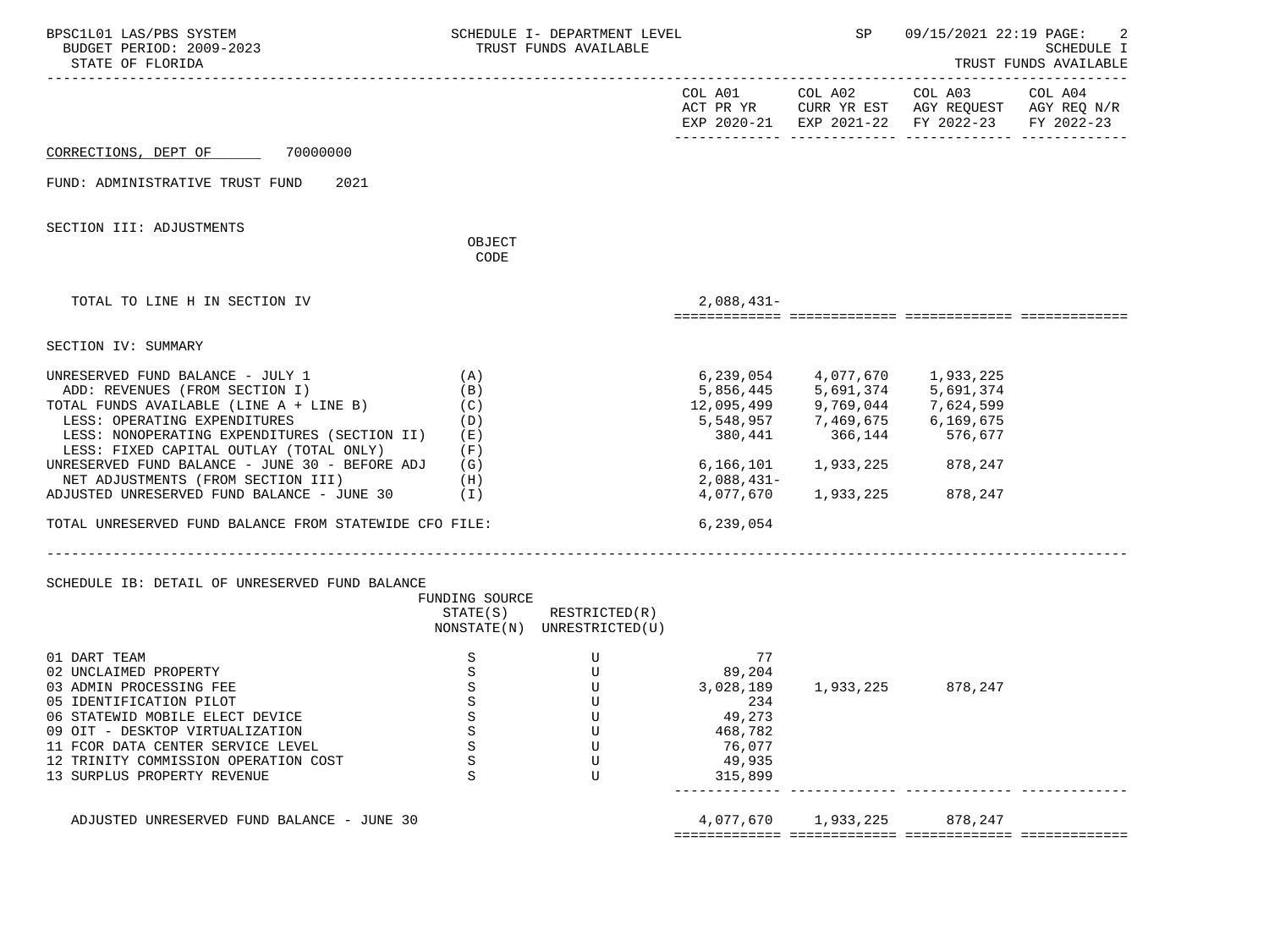| BPSC1L01 LAS/PBS SYSTEM<br>BUDGET PERIOD: 2009-2023<br>STATE OF FLORIDA                                                                                                                                                                                                       |                                           | SCHEDULE I- DEPARTMENT LEVEL<br>TRUST FUNDS AVAILABLE |                                                                                      | SP                                                                                                                                | 09/15/2021 22:19 PAGE: | 2<br>SCHEDULE I<br>TRUST FUNDS AVAILABLE |
|-------------------------------------------------------------------------------------------------------------------------------------------------------------------------------------------------------------------------------------------------------------------------------|-------------------------------------------|-------------------------------------------------------|--------------------------------------------------------------------------------------|-----------------------------------------------------------------------------------------------------------------------------------|------------------------|------------------------------------------|
|                                                                                                                                                                                                                                                                               |                                           |                                                       |                                                                                      | COL A01 COL A02 COL A03 COL A04<br>ACT PR YR CURR YR EST AGY REQUEST AGY REQ N/R<br>EXP 2020-21 EXP 2021-22 FY 2022-23 FY 2022-23 |                        |                                          |
| CORRECTIONS, DEPT OF 70000000                                                                                                                                                                                                                                                 |                                           |                                                       |                                                                                      |                                                                                                                                   |                        |                                          |
| 2021<br>FUND: ADMINISTRATIVE TRUST FUND                                                                                                                                                                                                                                       |                                           |                                                       |                                                                                      |                                                                                                                                   |                        |                                          |
| SECTION III: ADJUSTMENTS                                                                                                                                                                                                                                                      | OBJECT                                    |                                                       |                                                                                      |                                                                                                                                   |                        |                                          |
|                                                                                                                                                                                                                                                                               | CODE                                      |                                                       |                                                                                      |                                                                                                                                   |                        |                                          |
| TOTAL TO LINE H IN SECTION IV                                                                                                                                                                                                                                                 |                                           |                                                       | $2,088,431-$                                                                         |                                                                                                                                   |                        |                                          |
| SECTION IV: SUMMARY                                                                                                                                                                                                                                                           |                                           |                                                       |                                                                                      |                                                                                                                                   |                        |                                          |
| UNRESERVED FUND BALANCE - JULY 1<br>ADD: REVENUES (FROM SECTION I)<br>TOTAL FUNDS AVAILABLE (LINE A + LINE B)<br>LESS: OPERATING EXPENDITURES<br>LESS: NONOPERATING EXPENDITURES (SECTION II) (E)<br>LESS: FIXED CAPITAL OUTLAY (TOTAL ONLY)                                  | (A)<br>(B)<br>(C)<br>(D)<br>(F)           |                                                       |                                                                                      | 6,239,054 4,077,670 1,933,225<br>380,441 366,144 576,677                                                                          |                        |                                          |
| UNRESERVED FUND BALANCE - JUNE 30 - BEFORE ADJ $(G)$<br>NET ADJUSTMENTS (FROM SECTION III) (H)<br>ADJUSTED UNRESERVED FUND BALANCE - JUNE 30                                                                                                                                  | $(\lrcorner)$                             |                                                       | 2,088,431-                                                                           | 6,166,101 1,933,225 878,247<br>4,077,670 1,933,225                                                                                | 878,247                |                                          |
| TOTAL UNRESERVED FUND BALANCE FROM STATEWIDE CFO FILE:                                                                                                                                                                                                                        |                                           |                                                       | 6,239,054                                                                            |                                                                                                                                   |                        |                                          |
| SCHEDULE IB: DETAIL OF UNRESERVED FUND BALANCE                                                                                                                                                                                                                                | FUNDING SOURCE<br>STATE(S)                | RESTRICTED(R)<br>NONSTATE(N) UNRESTRICTED(U)          |                                                                                      |                                                                                                                                   |                        |                                          |
| 01 DART TEAM<br>02 UNCLAIMED PROPERTY<br>03 ADMIN PROCESSING FEE<br>05 IDENTIFICATION PILOT<br>06 STATEWID MOBILE ELECT DEVICE<br>09 OIT - DESKTOP VIRTUALIZATION<br>11 FCOR DATA CENTER SERVICE LEVEL<br>12 TRINITY COMMISSION OPERATION COST<br>13 SURPLUS PROPERTY REVENUE | S<br>S<br>S<br>S<br>S<br>S<br>S<br>S<br>S | U<br>U<br>U<br>U<br>U<br>U<br>U<br>U<br>U             | 77<br>89,204<br>3,028,189<br>234<br>49,273<br>468,782<br>76,077<br>49,935<br>315,899 |                                                                                                                                   | 1,933,225 878,247      |                                          |
| ADJUSTED UNRESERVED FUND BALANCE - JUNE 30                                                                                                                                                                                                                                    |                                           |                                                       | 4,077,670                                                                            | 1,933,225                                                                                                                         | 878,247                |                                          |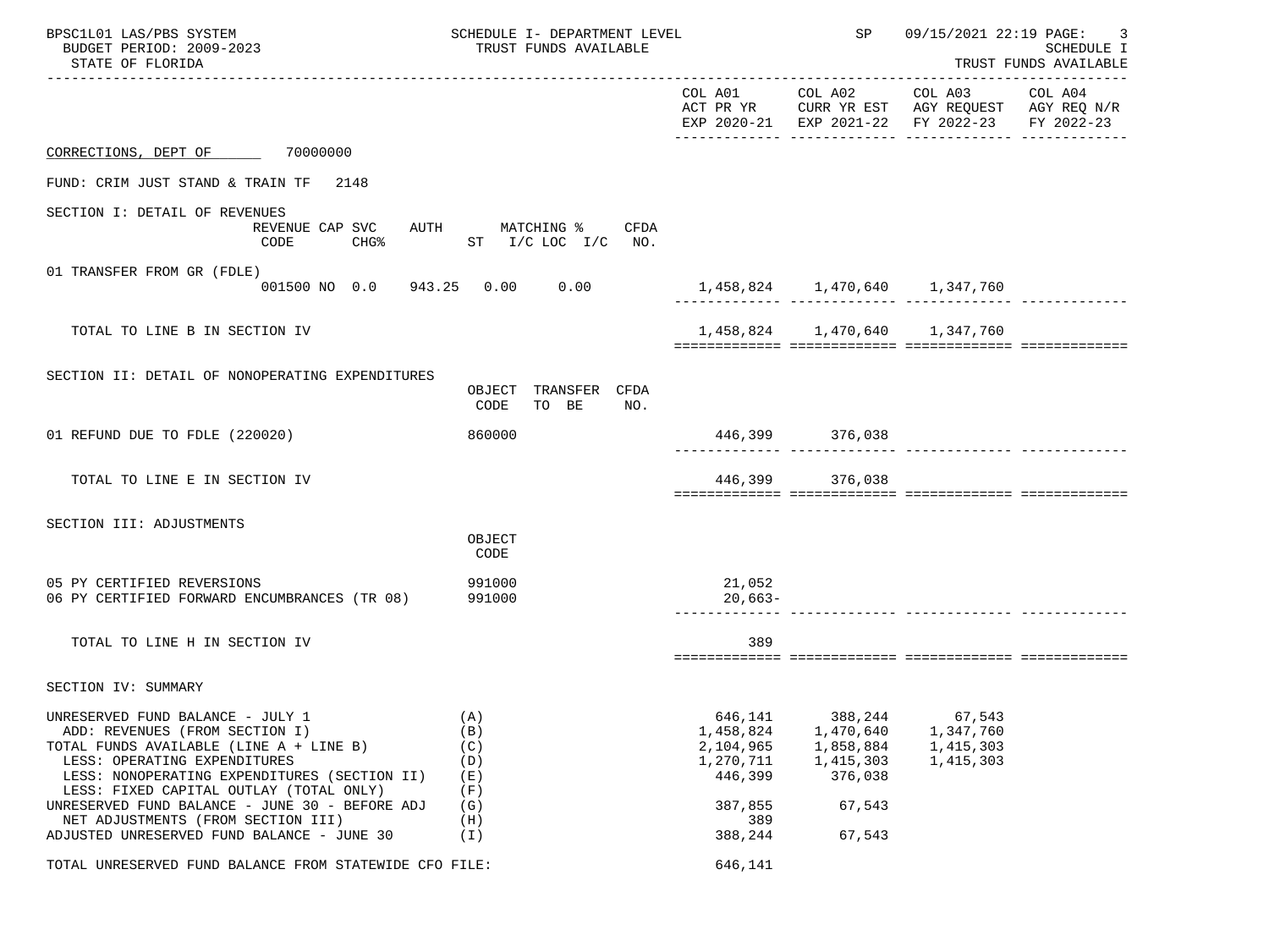| BPSC1L01 LAS/PBS SYSTEM<br>BUDGET PERIOD: 2009-2023<br>STATE OF FLORIDA                                                                                                                                                                                                                                                                                                        | SCHEDULE I- DEPARTMENT LEVEL<br>TRUST FUNDS AVAILABLE       |                                                                                        | SP                                                                            | 09/15/2021 22:19 PAGE: 3                                                                       | <b>SCHEDULE I</b><br>TRUST FUNDS AVAILABLE |
|--------------------------------------------------------------------------------------------------------------------------------------------------------------------------------------------------------------------------------------------------------------------------------------------------------------------------------------------------------------------------------|-------------------------------------------------------------|----------------------------------------------------------------------------------------|-------------------------------------------------------------------------------|------------------------------------------------------------------------------------------------|--------------------------------------------|
|                                                                                                                                                                                                                                                                                                                                                                                |                                                             |                                                                                        | COL A01 COL A02 COL A03                                                       | ACT PR YR CURR YR EST AGY REQUEST AGY REQ N/R<br>EXP 2020-21 EXP 2021-22 FY 2022-23 FY 2022-23 | COL A04                                    |
| CORRECTIONS, DEPT OF 70000000                                                                                                                                                                                                                                                                                                                                                  |                                                             |                                                                                        |                                                                               |                                                                                                |                                            |
| FUND: CRIM JUST STAND & TRAIN TF<br>2148                                                                                                                                                                                                                                                                                                                                       |                                                             |                                                                                        |                                                                               |                                                                                                |                                            |
| SECTION I: DETAIL OF REVENUES<br>REVENUE CAP SVC<br>CHG <sup>8</sup><br>CODE                                                                                                                                                                                                                                                                                                   | AUTH MATCHING % CFDA<br>ST I/C LOC I/C NO.                  |                                                                                        |                                                                               |                                                                                                |                                            |
| 01 TRANSFER FROM GR (FDLE)<br>001500 NO 0.0 943.25 0.00 0.00                                                                                                                                                                                                                                                                                                                   |                                                             | 1,458,824   1,470,640   1,347,760                                                      |                                                                               |                                                                                                |                                            |
| TOTAL TO LINE B IN SECTION IV                                                                                                                                                                                                                                                                                                                                                  |                                                             |                                                                                        | 1,458,824 1,470,640 1,347,760                                                 |                                                                                                |                                            |
| SECTION II: DETAIL OF NONOPERATING EXPENDITURES                                                                                                                                                                                                                                                                                                                                | OBJECT TRANSFER CFDA<br>TO BE<br>CODE<br>NO.                |                                                                                        |                                                                               |                                                                                                |                                            |
| 01 REFUND DUE TO FDLE (220020)                                                                                                                                                                                                                                                                                                                                                 | 860000                                                      |                                                                                        | 446,399 376,038                                                               |                                                                                                |                                            |
| TOTAL TO LINE E IN SECTION IV                                                                                                                                                                                                                                                                                                                                                  |                                                             |                                                                                        | 446,399 376,038                                                               |                                                                                                |                                            |
| SECTION III: ADJUSTMENTS                                                                                                                                                                                                                                                                                                                                                       | OBJECT<br>CODE                                              |                                                                                        |                                                                               |                                                                                                |                                            |
| 05 PY CERTIFIED REVERSIONS<br>06 PY CERTIFIED FORWARD ENCUMBRANCES (TR 08)                                                                                                                                                                                                                                                                                                     | 991000<br>991000                                            | 21,052<br>$20,663-$                                                                    |                                                                               | .como concertarente concertarente concert                                                      |                                            |
| TOTAL TO LINE H IN SECTION IV                                                                                                                                                                                                                                                                                                                                                  |                                                             | 389                                                                                    |                                                                               |                                                                                                |                                            |
| SECTION IV: SUMMARY                                                                                                                                                                                                                                                                                                                                                            |                                                             |                                                                                        |                                                                               |                                                                                                |                                            |
| UNRESERVED FUND BALANCE - JULY 1<br>ADD: REVENUES (FROM SECTION I)<br>TOTAL FUNDS AVAILABLE (LINE A + LINE B)<br>LESS: OPERATING EXPENDITURES<br>LESS: NONOPERATING EXPENDITURES (SECTION II)<br>LESS: FIXED CAPITAL OUTLAY (TOTAL ONLY)<br>UNRESERVED FUND BALANCE - JUNE 30 - BEFORE ADJ<br>NET ADJUSTMENTS (FROM SECTION III)<br>ADJUSTED UNRESERVED FUND BALANCE - JUNE 30 | (A)<br>(B)<br>(C)<br>(D)<br>(E)<br>(F)<br>(G)<br>(H)<br>(I) | 646,141<br>1,458,824<br>2,104,965<br>1,270,711<br>446,399<br>387,855<br>389<br>388,244 | 388,244<br>1,470,640<br>1,858,884<br>1,415,303<br>376,038<br>67,543<br>67,543 | 67,543<br>1,347,760<br>1,415,303<br>1,415,303                                                  |                                            |
| TOTAL UNRESERVED FUND BALANCE FROM STATEWIDE CFO FILE:                                                                                                                                                                                                                                                                                                                         |                                                             | 646,141                                                                                |                                                                               |                                                                                                |                                            |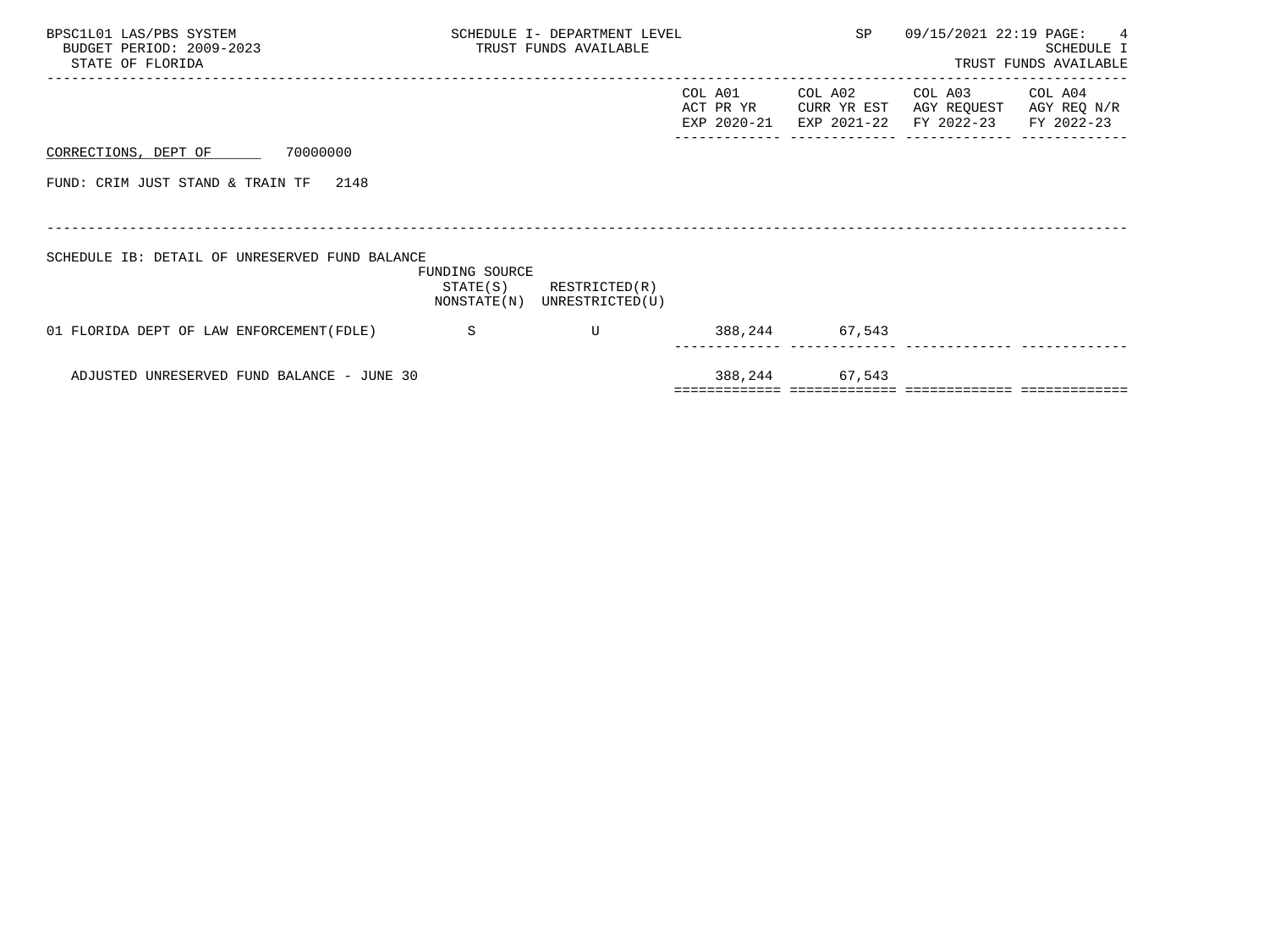| BPSC1L01 LAS/PBS SYSTEM<br>BUDGET PERIOD: 2009-2023<br>STATE OF FLORIDA |                                            |                | SCHEDULE I- DEPARTMENT LEVEL<br>TRUST FUNDS AVAILABLE      |                                     | SP                                    | 09/15/2021 22:19 PAGE:               | $\sim$ 4<br><b>SCHEDULE I</b><br>TRUST FUNDS AVAILABLE |
|-------------------------------------------------------------------------|--------------------------------------------|----------------|------------------------------------------------------------|-------------------------------------|---------------------------------------|--------------------------------------|--------------------------------------------------------|
|                                                                         |                                            |                |                                                            | COL A01<br>ACT PR YR<br>EXP 2020-21 | COL A02<br>CURR YR EST<br>EXP 2021-22 | COL A03<br>AGY REQUEST<br>FY 2022-23 | COL A04<br>AGY REQ N/R<br>FY 2022-23                   |
| CORRECTIONS, DEPT OF                                                    | 70000000                                   |                |                                                            |                                     |                                       |                                      |                                                        |
| FUND: CRIM JUST STAND & TRAIN TF                                        | 2148                                       |                |                                                            |                                     |                                       |                                      |                                                        |
|                                                                         |                                            |                |                                                            |                                     |                                       |                                      |                                                        |
| SCHEDULE IB: DETAIL OF UNRESERVED FUND BALANCE                          |                                            | FUNDING SOURCE | $STATE(S)$ RESTRICTED $(R)$<br>NONSTATE(N) UNRESTRICTED(U) |                                     |                                       |                                      |                                                        |
| 01 FLORIDA DEPT OF LAW ENFORCEMENT (FDLE)                               |                                            | $\mathbf S$    | U                                                          |                                     | 388,244 67,543                        |                                      |                                                        |
|                                                                         | ADJUSTED UNRESERVED FUND BALANCE - JUNE 30 |                |                                                            |                                     | 388, 244 67, 543                      |                                      |                                                        |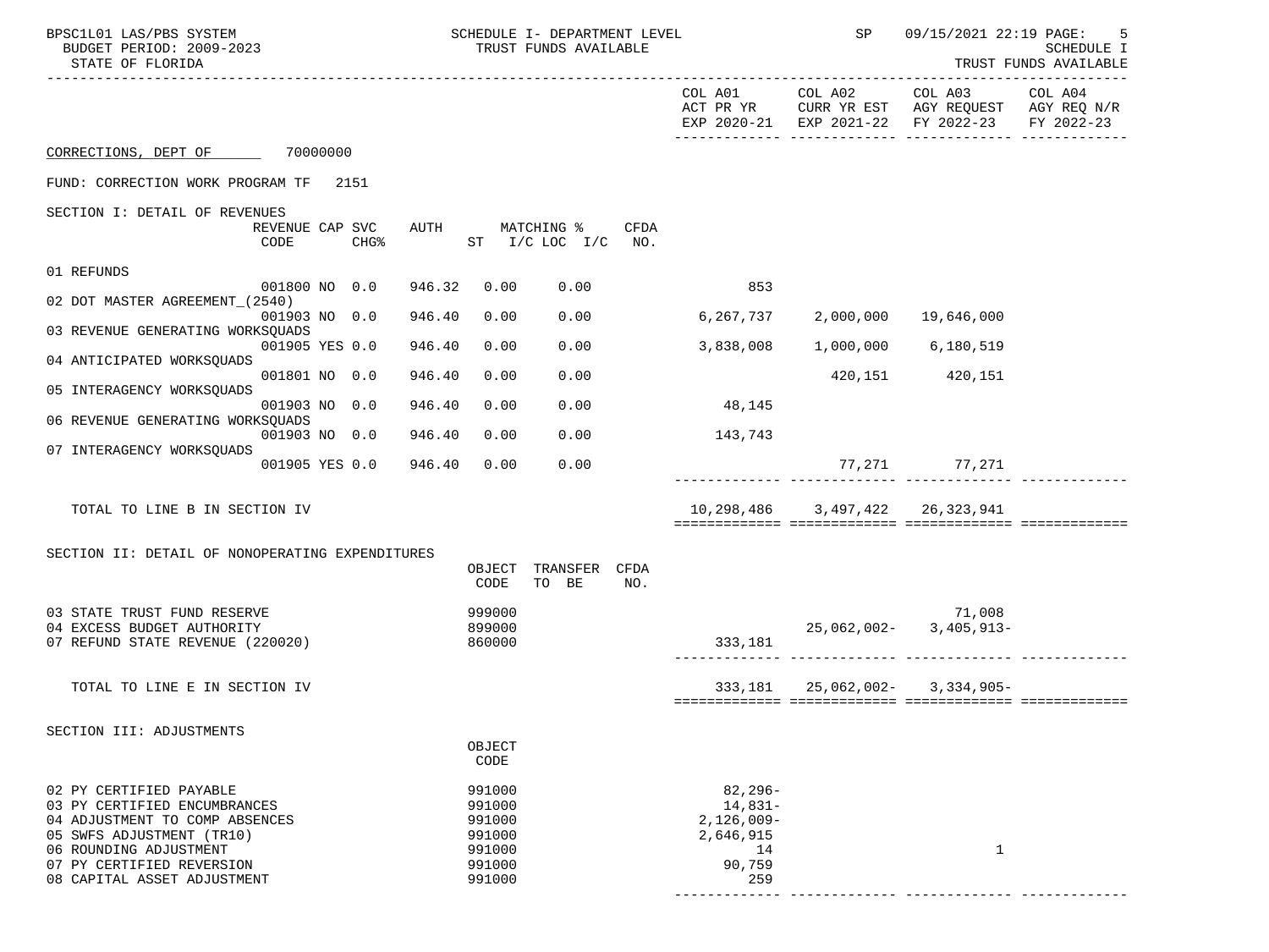| BPSC1L01 LAS/PBS SYSTEM<br>BUDGET PERIOD: 2009-2023<br>STATE OF FLORIDA                                                                                                                                      |                         |        |             |                                                                    | SCHEDULE I- DEPARTMENT LEVEL<br>TRUST FUNDS AVAILABLE |             |                                                                              | SP                              | 09/15/2021 22:19 PAGE:                                                               | 5<br>SCHEDULE I<br>TRUST FUNDS AVAILABLE |
|--------------------------------------------------------------------------------------------------------------------------------------------------------------------------------------------------------------|-------------------------|--------|-------------|--------------------------------------------------------------------|-------------------------------------------------------|-------------|------------------------------------------------------------------------------|---------------------------------|--------------------------------------------------------------------------------------|------------------------------------------|
|                                                                                                                                                                                                              |                         |        |             |                                                                    |                                                       |             | COL A01<br>ACT PR YR                                                         | COL A02                         | COL A03<br>CURR YR EST AGY REQUEST AGY REQ N/R<br>EXP 2020-21 EXP 2021-22 FY 2022-23 | COL A04<br>FY 2022-23                    |
| CORRECTIONS, DEPT OF 70000000                                                                                                                                                                                |                         |        |             |                                                                    |                                                       |             |                                                                              |                                 |                                                                                      |                                          |
| FUND: CORRECTION WORK PROGRAM TF                                                                                                                                                                             |                         | 2151   |             |                                                                    |                                                       |             |                                                                              |                                 |                                                                                      |                                          |
| SECTION I: DETAIL OF REVENUES                                                                                                                                                                                |                         |        |             |                                                                    |                                                       |             |                                                                              |                                 |                                                                                      |                                          |
|                                                                                                                                                                                                              | REVENUE CAP SVC<br>CODE | $CHG\$ | <b>AUTH</b> |                                                                    | MATCHING %<br>ST $I/C$ LOC $I/C$ NO.                  | CFDA        |                                                                              |                                 |                                                                                      |                                          |
| 01 REFUNDS                                                                                                                                                                                                   |                         |        |             |                                                                    |                                                       |             |                                                                              |                                 |                                                                                      |                                          |
| 02 DOT MASTER AGREEMENT (2540)                                                                                                                                                                               | 001800 NO 0.0           |        | 946.32      | 0.00                                                               | 0.00                                                  |             | 853                                                                          |                                 |                                                                                      |                                          |
| 03 REVENUE GENERATING WORKSOUADS                                                                                                                                                                             | 001903 NO 0.0           |        | 946.40      | 0.00                                                               | 0.00                                                  |             | 6,267,737                                                                    | 2,000,000 19,646,000            |                                                                                      |                                          |
|                                                                                                                                                                                                              | 001905 YES 0.0          |        | 946.40      | 0.00                                                               | 0.00                                                  |             | 3,838,008                                                                    |                                 | 1,000,000 6,180,519                                                                  |                                          |
| 04 ANTICIPATED WORKSQUADS                                                                                                                                                                                    | 001801 NO 0.0           |        | 946.40      | 0.00                                                               | 0.00                                                  |             |                                                                              |                                 | 420, 151 420, 151                                                                    |                                          |
| 05 INTERAGENCY WORKSQUADS                                                                                                                                                                                    |                         |        |             |                                                                    |                                                       |             |                                                                              |                                 |                                                                                      |                                          |
| 06 REVENUE GENERATING WORKSQUADS                                                                                                                                                                             | 001903 NO 0.0           |        | 946.40      | 0.00                                                               | 0.00                                                  |             | 48,145                                                                       |                                 |                                                                                      |                                          |
| 07 INTERAGENCY WORKSQUADS                                                                                                                                                                                    | 001903 NO 0.0           |        | 946.40      | 0.00                                                               | 0.00                                                  |             | 143,743                                                                      |                                 |                                                                                      |                                          |
|                                                                                                                                                                                                              | 001905 YES 0.0          |        | 946.40      | 0.00                                                               | 0.00                                                  |             |                                                                              |                                 | 77,271 77,271                                                                        |                                          |
| TOTAL TO LINE B IN SECTION IV                                                                                                                                                                                |                         |        |             |                                                                    |                                                       |             |                                                                              | 10,298,486 3,497,422 26,323,941 |                                                                                      |                                          |
| SECTION II: DETAIL OF NONOPERATING EXPENDITURES                                                                                                                                                              |                         |        |             |                                                                    |                                                       |             |                                                                              |                                 |                                                                                      |                                          |
|                                                                                                                                                                                                              |                         |        |             | OBJECT<br>CODE                                                     | TRANSFER<br>TO BE                                     | CFDA<br>NO. |                                                                              |                                 |                                                                                      |                                          |
| 03 STATE TRUST FUND RESERVE                                                                                                                                                                                  |                         |        |             | 999000                                                             |                                                       |             |                                                                              |                                 | 71,008                                                                               |                                          |
| 04 EXCESS BUDGET AUTHORITY<br>07 REFUND STATE REVENUE (220020)                                                                                                                                               |                         |        |             | 899000<br>860000                                                   |                                                       |             | 333,181                                                                      |                                 | $25,062,002 - 3,405,913 -$                                                           |                                          |
| TOTAL TO LINE E IN SECTION IV                                                                                                                                                                                |                         |        |             |                                                                    |                                                       |             |                                                                              |                                 | 333, 181 25, 062, 002- 3, 334, 905-                                                  |                                          |
|                                                                                                                                                                                                              |                         |        |             |                                                                    |                                                       |             |                                                                              |                                 |                                                                                      |                                          |
| SECTION III: ADJUSTMENTS                                                                                                                                                                                     |                         |        |             | OBJECT<br>CODE                                                     |                                                       |             |                                                                              |                                 |                                                                                      |                                          |
| 02 PY CERTIFIED PAYABLE<br>03 PY CERTIFIED ENCUMBRANCES<br>04 ADJUSTMENT TO COMP ABSENCES<br>05 SWFS ADJUSTMENT (TR10)<br>06 ROUNDING ADJUSTMENT<br>07 PY CERTIFIED REVERSION<br>08 CAPITAL ASSET ADJUSTMENT |                         |        |             | 991000<br>991000<br>991000<br>991000<br>991000<br>991000<br>991000 |                                                       |             | $82, 296 -$<br>$14,831-$<br>$2,126,009-$<br>2,646,915<br>14<br>90,759<br>259 |                                 | 1                                                                                    |                                          |
|                                                                                                                                                                                                              |                         |        |             |                                                                    |                                                       |             |                                                                              |                                 |                                                                                      |                                          |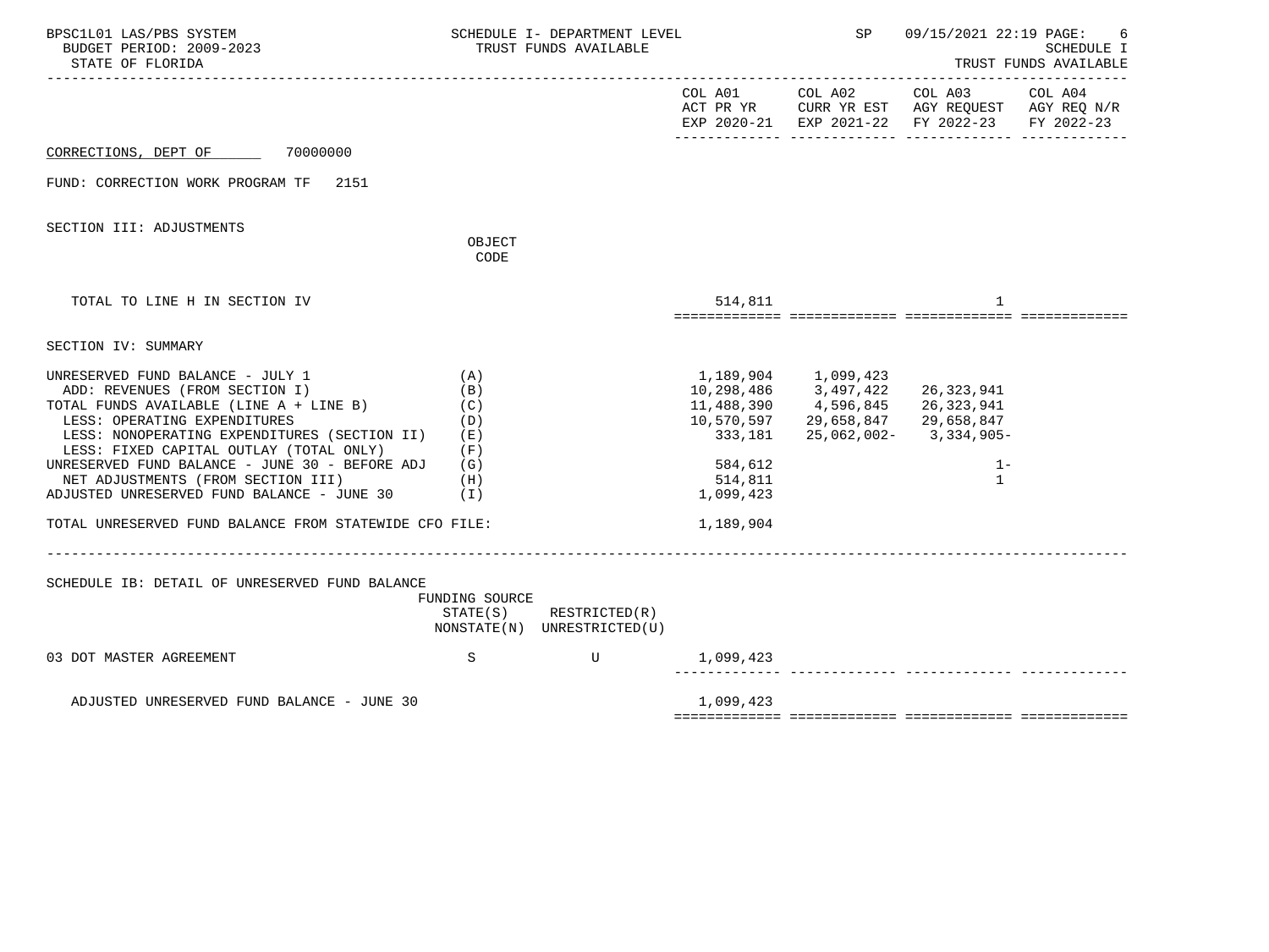| BPSC1L01 LAS/PBS SYSTEM<br>BUDGET PERIOD: 2009-2023<br>STATE OF FLORIDA                                                                                                                                                                                                                                                                                                                  |                                                 | SCHEDULE I- DEPARTMENT LEVEL<br>TRUST FUNDS AVAILABLE      |                                            | <b>SP</b>                                                                                                                      | 09/15/2021 22:19 PAGE:                                                                                                            | -6<br><b>SCHEDULE I</b><br>TRUST FUNDS AVAILABLE |
|------------------------------------------------------------------------------------------------------------------------------------------------------------------------------------------------------------------------------------------------------------------------------------------------------------------------------------------------------------------------------------------|-------------------------------------------------|------------------------------------------------------------|--------------------------------------------|--------------------------------------------------------------------------------------------------------------------------------|-----------------------------------------------------------------------------------------------------------------------------------|--------------------------------------------------|
|                                                                                                                                                                                                                                                                                                                                                                                          |                                                 |                                                            |                                            |                                                                                                                                | COL A01 COL A02 COL A03 COL A04<br>ACT PR YR CURR YR EST AGY REQUEST AGY REQ N/R<br>EXP 2020-21 EXP 2021-22 FY 2022-23 FY 2022-23 |                                                  |
| CORRECTIONS, DEPT OF 70000000                                                                                                                                                                                                                                                                                                                                                            |                                                 |                                                            |                                            |                                                                                                                                |                                                                                                                                   |                                                  |
| FUND: CORRECTION WORK PROGRAM TF 2151                                                                                                                                                                                                                                                                                                                                                    |                                                 |                                                            |                                            |                                                                                                                                |                                                                                                                                   |                                                  |
| SECTION III: ADJUSTMENTS                                                                                                                                                                                                                                                                                                                                                                 | OBJECT<br>CODE                                  |                                                            |                                            |                                                                                                                                |                                                                                                                                   |                                                  |
| TOTAL TO LINE H IN SECTION IV                                                                                                                                                                                                                                                                                                                                                            |                                                 |                                                            | 514,811                                    |                                                                                                                                | 1                                                                                                                                 |                                                  |
| SECTION IV: SUMMARY                                                                                                                                                                                                                                                                                                                                                                      |                                                 |                                                            |                                            |                                                                                                                                |                                                                                                                                   |                                                  |
| UNRESERVED FUND BALANCE - JULY 1<br>ADD: REVENUES (FROM SECTION I)<br>TOTAL FUNDS AVAILABLE (LINE A + LINE B)<br>LESS: OPERATING EXPENDITURES<br>LESS: NONOPERATING EXPENDITURES (SECTION II)<br>LESS: FIXED CAPITAL OUTLAY (TOTAL ONLY)<br>UNRESERVED FUND BALANCE - JUNE 30 - BEFORE ADJ $(G)$<br>NET ADJUSTMENTS (FROM SECTION III)<br>ADJUSTED UNRESERVED FUND BALANCE - JUNE 30 (I) | (A)<br>(B)<br>(C)<br>(D)<br>( E )<br>(F)<br>(H) |                                                            | 333,181<br>584,612<br>514,811<br>1,099,423 | 1,189,904 1,099,423<br>$10, 298, 486$<br>$11, 488, 390$<br>$4, 596, 845$<br>$26, 323, 941$<br>10,570,597 29,658,847 29,658,847 | 25,062,002-3,334,905-<br>$1 -$<br>1                                                                                               |                                                  |
| TOTAL UNRESERVED FUND BALANCE FROM STATEWIDE CFO FILE:                                                                                                                                                                                                                                                                                                                                   |                                                 |                                                            | 1,189,904                                  |                                                                                                                                |                                                                                                                                   |                                                  |
| SCHEDULE IB: DETAIL OF UNRESERVED FUND BALANCE                                                                                                                                                                                                                                                                                                                                           | FUNDING SOURCE                                  | $STATE(S)$ RESTRICTED $(R)$<br>NONSTATE(N) UNRESTRICTED(U) |                                            |                                                                                                                                |                                                                                                                                   |                                                  |
| 03 DOT MASTER AGREEMENT                                                                                                                                                                                                                                                                                                                                                                  | S                                               | $\mathbf U$                                                | 1,099,423                                  |                                                                                                                                |                                                                                                                                   |                                                  |
| ADJUSTED UNRESERVED FUND BALANCE - JUNE 30                                                                                                                                                                                                                                                                                                                                               |                                                 |                                                            | 1,099,423                                  |                                                                                                                                |                                                                                                                                   |                                                  |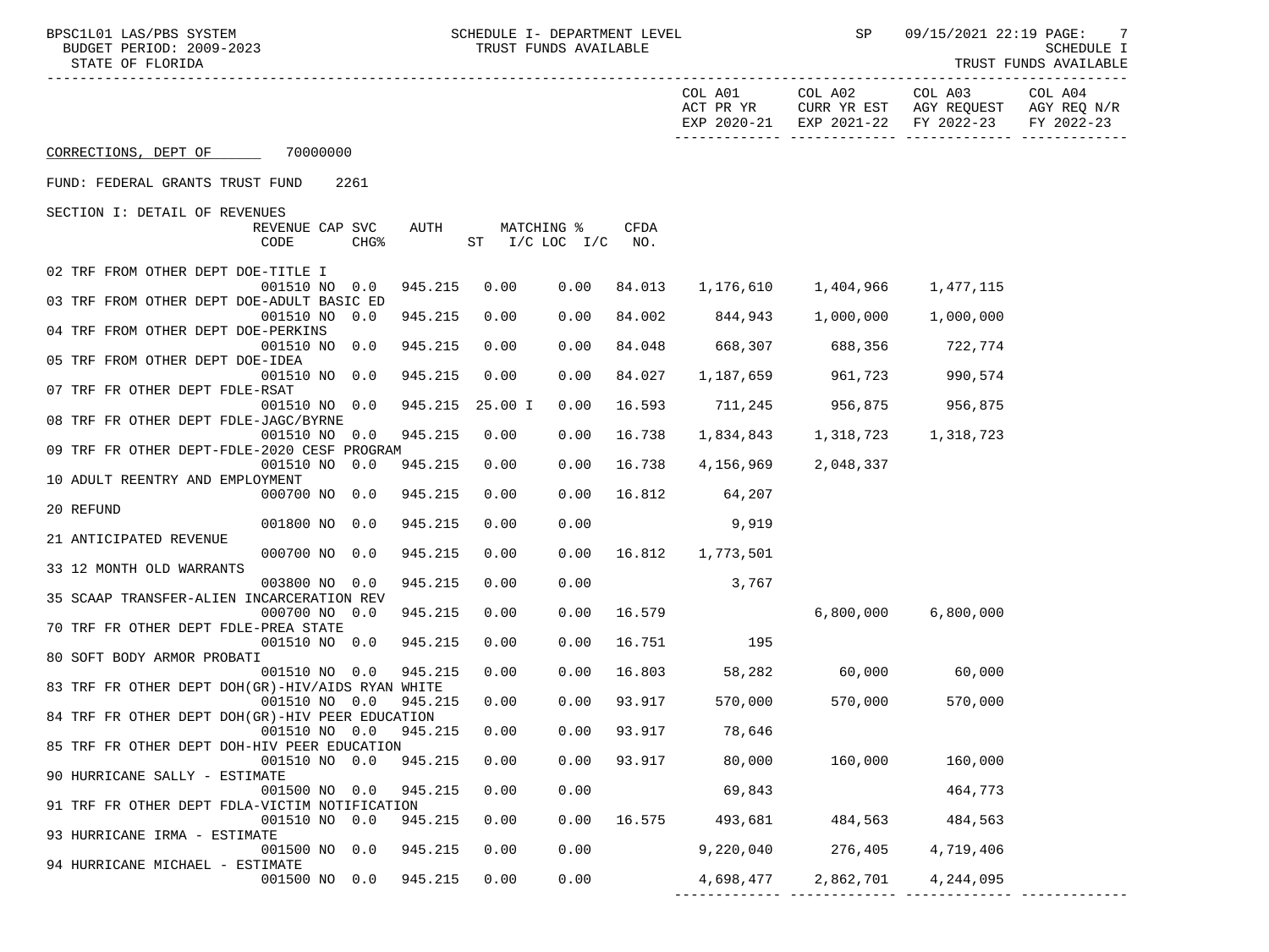------------- ------------- ------------- -------------

TRUST FUNDS AVAILABLE

|                                                                           |         |                    |            |               |           |                                     | EXP 2020-21 EXP 2021-22 FY 2022-23 | FY 2022-23 |
|---------------------------------------------------------------------------|---------|--------------------|------------|---------------|-----------|-------------------------------------|------------------------------------|------------|
| CORRECTIONS, DEPT OF 70000000                                             |         |                    |            |               |           |                                     |                                    |            |
| FUND: FEDERAL GRANTS TRUST FUND<br>2261                                   |         |                    |            |               |           |                                     |                                    |            |
| SECTION I: DETAIL OF REVENUES                                             |         |                    |            |               |           |                                     |                                    |            |
| REVENUE CAP SVC<br>CODE<br>CHG <sup>8</sup>                               | AUTH    | ST I/C LOC I/C NO. | MATCHING % | <b>CFDA</b>   |           |                                     |                                    |            |
| 02 TRF FROM OTHER DEPT DOE-TITLE I                                        |         |                    |            |               |           |                                     |                                    |            |
| 001510 NO 0.0<br>03 TRF FROM OTHER DEPT DOE-ADULT BASIC ED                | 945.215 | 0.00               | 0.00       | 84.013        |           | 1, 176, 610 1, 404, 966 1, 477, 115 |                                    |            |
| 001510 NO 0.0<br>04 TRF FROM OTHER DEPT DOE-PERKINS                       | 945.215 | 0.00               | 0.00       | 84.002        | 844,943   | 1,000,000                           | 1,000,000                          |            |
| 001510 NO 0.0<br>05 TRF FROM OTHER DEPT DOE-IDEA                          | 945.215 | 0.00               | 0.00       | 84.048        |           | 668,307 688,356                     | 722,774                            |            |
| 001510 NO 0.0<br>07 TRF FR OTHER DEPT FDLE-RSAT                           | 945.215 | 0.00               | 0.00       | 84.027        |           | 1,187,659 961,723                   | 990,574                            |            |
| 001510 NO 0.0<br>08 TRF FR OTHER DEPT FDLE-JAGC/BYRNE                     | 945.215 | 25.00 I            | 0.00       | 16.593        | 711,245   | 956,875                             | 956,875                            |            |
| 001510 NO 0.0<br>09 TRF FR OTHER DEPT-FDLE-2020 CESF PROGRAM              | 945.215 | 0.00               | 0.00       | 16.738        | 1,834,843 |                                     | 1, 318, 723 1, 318, 723            |            |
| 001510 NO 0.0                                                             | 945.215 | 0.00               | 0.00       | 16.738        | 4,156,969 | 2,048,337                           |                                    |            |
| 10 ADULT REENTRY AND EMPLOYMENT<br>000700 NO 0.0                          | 945.215 | 0.00               | 0.00       | 16.812        | 64,207    |                                     |                                    |            |
| 20 REFUND<br>001800 NO 0.0                                                | 945.215 | 0.00               | 0.00       |               | 9,919     |                                     |                                    |            |
| 21 ANTICIPATED REVENUE<br>000700 NO 0.0                                   | 945.215 | 0.00               | 0.00       | 16.812        | 1,773,501 |                                     |                                    |            |
| 33 12 MONTH OLD WARRANTS<br>003800 NO 0.0                                 | 945.215 | 0.00               | 0.00       |               | 3,767     |                                     |                                    |            |
| 35 SCAAP TRANSFER-ALIEN INCARCERATION REV                                 |         |                    |            |               |           |                                     |                                    |            |
| 000700 NO 0.0<br>70 TRF FR OTHER DEPT FDLE-PREA STATE                     | 945.215 | 0.00               | 0.00       | 16.579        |           |                                     | 6,800,000 6,800,000                |            |
| 001510 NO 0.0<br>80 SOFT BODY ARMOR PROBATI                               | 945.215 | 0.00               | 0.00       | 16.751        | 195       |                                     |                                    |            |
| 001510 NO 0.0<br>83 TRF FR OTHER DEPT DOH(GR)-HIV/AIDS RYAN WHITE         | 945.215 | 0.00               | 0.00       | 16.803        |           | 58,282 60,000 60,000                |                                    |            |
| 001510 NO 0.0<br>84 TRF FR OTHER DEPT DOH(GR)-HIV PEER EDUCATION          | 945.215 | 0.00               | 0.00       | 93.917        | 570,000   | 570,000                             | 570,000                            |            |
| 001510 NO 0.0 945.215                                                     |         | 0.00               | 0.00       | 93.917        | 78,646    |                                     |                                    |            |
| 85 TRF FR OTHER DEPT DOH-HIV PEER EDUCATION<br>001510 NO 0.0 945.215 0.00 |         |                    |            | $0.00$ 93.917 | 80,000    | 160,000                             | 160,000                            |            |
| 90 HURRICANE SALLY - ESTIMATE<br>001500 NO 0.0                            | 945.215 | 0.00               | 0.00       |               | 69,843    |                                     | 464,773                            |            |
| 91 TRF FR OTHER DEPT FDLA-VICTIM NOTIFICATION<br>001510 NO 0.0            | 945.215 | 0.00               | 0.00       | 16.575        | 493,681   | 484,563                             | 484,563                            |            |
| 93 HURRICANE IRMA - ESTIMATE                                              | 945.215 |                    |            |               |           |                                     |                                    |            |
| 001500 NO 0.0<br>94 HURRICANE MICHAEL - ESTIMATE                          |         | 0.00               | 0.00       |               | 9,220,040 | 276,405                             | 4,719,406                          |            |
| 001500 NO 0.0                                                             | 945.215 | 0.00               | 0.00       |               | 4,698,477 | 2,862,701                           | 4,244,095                          |            |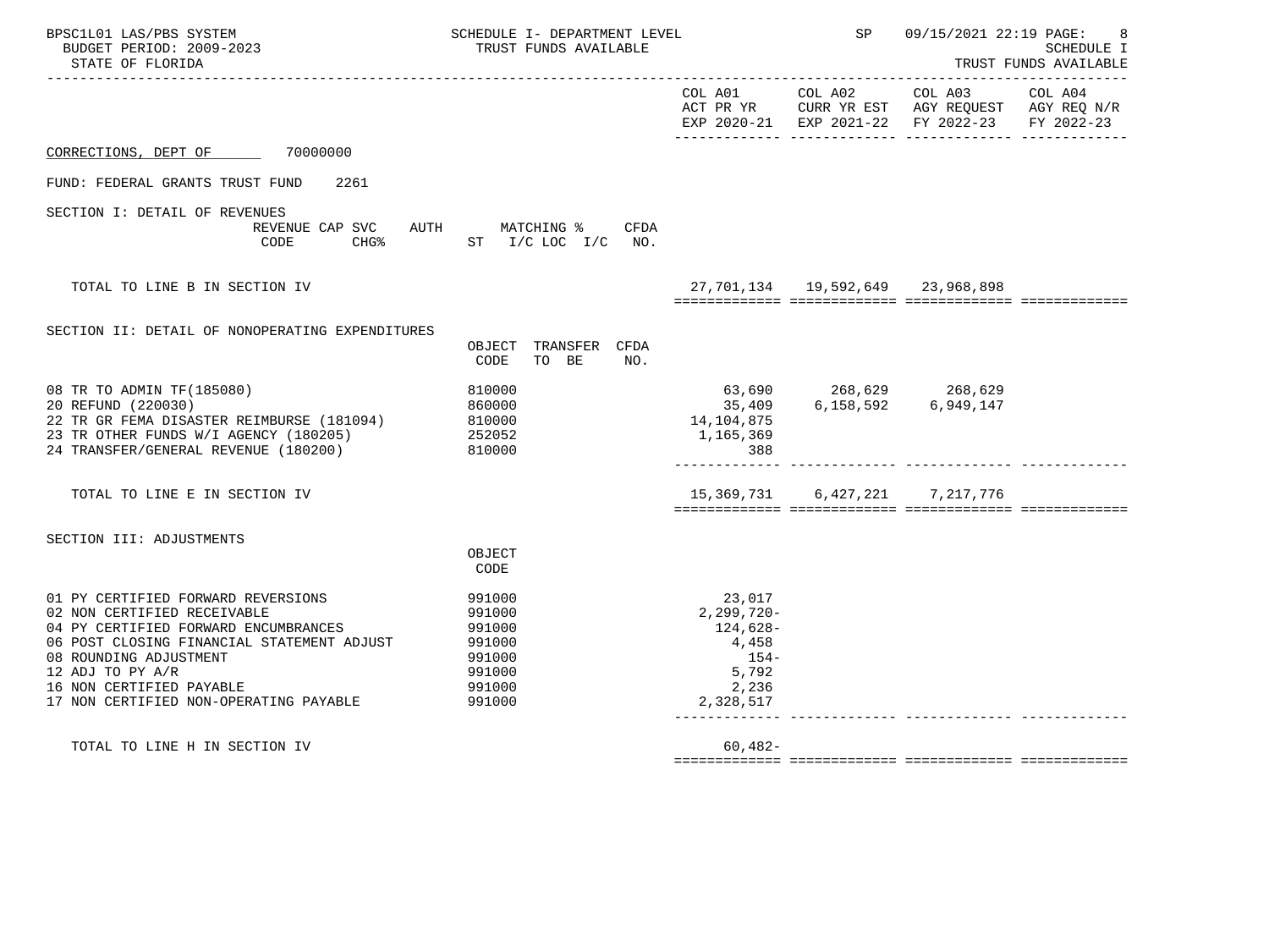| BPSC1L01 LAS/PBS SYSTEM<br>BUDGET PERIOD: 2009-2023<br>STATE OF FLORIDA                                                                                                                                                                                                     | SCHEDULE I- DEPARTMENT LEVEL<br>TRUST FUNDS AVAILABLE                           |                                                                                      | SP                                       | 09/15/2021 22:19 PAGE:                                                                                                    | 8<br><b>SCHEDULE I</b><br>TRUST FUNDS AVAILABLE |
|-----------------------------------------------------------------------------------------------------------------------------------------------------------------------------------------------------------------------------------------------------------------------------|---------------------------------------------------------------------------------|--------------------------------------------------------------------------------------|------------------------------------------|---------------------------------------------------------------------------------------------------------------------------|-------------------------------------------------|
|                                                                                                                                                                                                                                                                             |                                                                                 |                                                                                      |                                          | COL A01 COL A02 COL A03<br>ACT PR YR CURR YR EST AGY REQUEST AGY REQ N/R<br>EXP 2020-21 EXP 2021-22 FY 2022-23 FY 2022-23 | COL A04                                         |
| CORRECTIONS, DEPT OF 70000000                                                                                                                                                                                                                                               |                                                                                 |                                                                                      |                                          |                                                                                                                           |                                                 |
| FUND: FEDERAL GRANTS TRUST FUND<br>2261                                                                                                                                                                                                                                     |                                                                                 |                                                                                      |                                          |                                                                                                                           |                                                 |
| SECTION I: DETAIL OF REVENUES<br>CODE                                                                                                                                                                                                                                       | REVENUE CAP SVC AUTH MATCHING % CFDA<br>CHG <sup>&amp;</sup> ST I/C LOC I/C NO. |                                                                                      |                                          |                                                                                                                           |                                                 |
| TOTAL TO LINE B IN SECTION IV                                                                                                                                                                                                                                               |                                                                                 |                                                                                      | 27, 701, 134  19, 592, 649  23, 968, 898 |                                                                                                                           |                                                 |
| SECTION II: DETAIL OF NONOPERATING EXPENDITURES                                                                                                                                                                                                                             | OBJECT TRANSFER CFDA<br>CODE<br>TO BE<br>NO.                                    |                                                                                      |                                          |                                                                                                                           |                                                 |
| 08 TR TO ADMIN TF (185080)<br>20 REFUND (220030)<br>22 TR GR FEMA DISASTER REIMBURSE (181094)<br>23 TR OTHER FUNDS W/I AGENCY (180205)<br>24 TRANSFER/GENERAL REVENUE (180200)                                                                                              | 810000<br>860000<br>810000<br>252052<br>810000                                  | 14,104,875<br>1,165,369<br>388                                                       |                                          |                                                                                                                           |                                                 |
| TOTAL TO LINE E IN SECTION IV                                                                                                                                                                                                                                               |                                                                                 |                                                                                      | 15, 369, 731 6, 427, 221 7, 217, 776     |                                                                                                                           |                                                 |
| SECTION III: ADJUSTMENTS                                                                                                                                                                                                                                                    | OBJECT<br>CODE                                                                  |                                                                                      |                                          |                                                                                                                           |                                                 |
| 01 PY CERTIFIED FORWARD REVERSIONS<br>02 NON CERTIFIED RECEIVABLE<br>04 PY CERTIFIED FORWARD ENCUMBRANCES<br>06 POST CLOSING FINANCIAL STATEMENT ADJUST<br>08 ROUNDING ADJUSTMENT<br>12 ADJ TO PY A/R<br>16 NON CERTIFIED PAYABLE<br>17 NON CERTIFIED NON-OPERATING PAYABLE | 991000<br>991000<br>991000<br>991000<br>991000<br>991000<br>991000<br>991000    | 23,017<br>$2,299,720-$<br>124,628-<br>4,458<br>$154-$<br>5,792<br>2,236<br>2,328,517 |                                          | _____________________________                                                                                             |                                                 |
| TOTAL TO LINE H IN SECTION IV                                                                                                                                                                                                                                               |                                                                                 | $60,482-$                                                                            |                                          |                                                                                                                           |                                                 |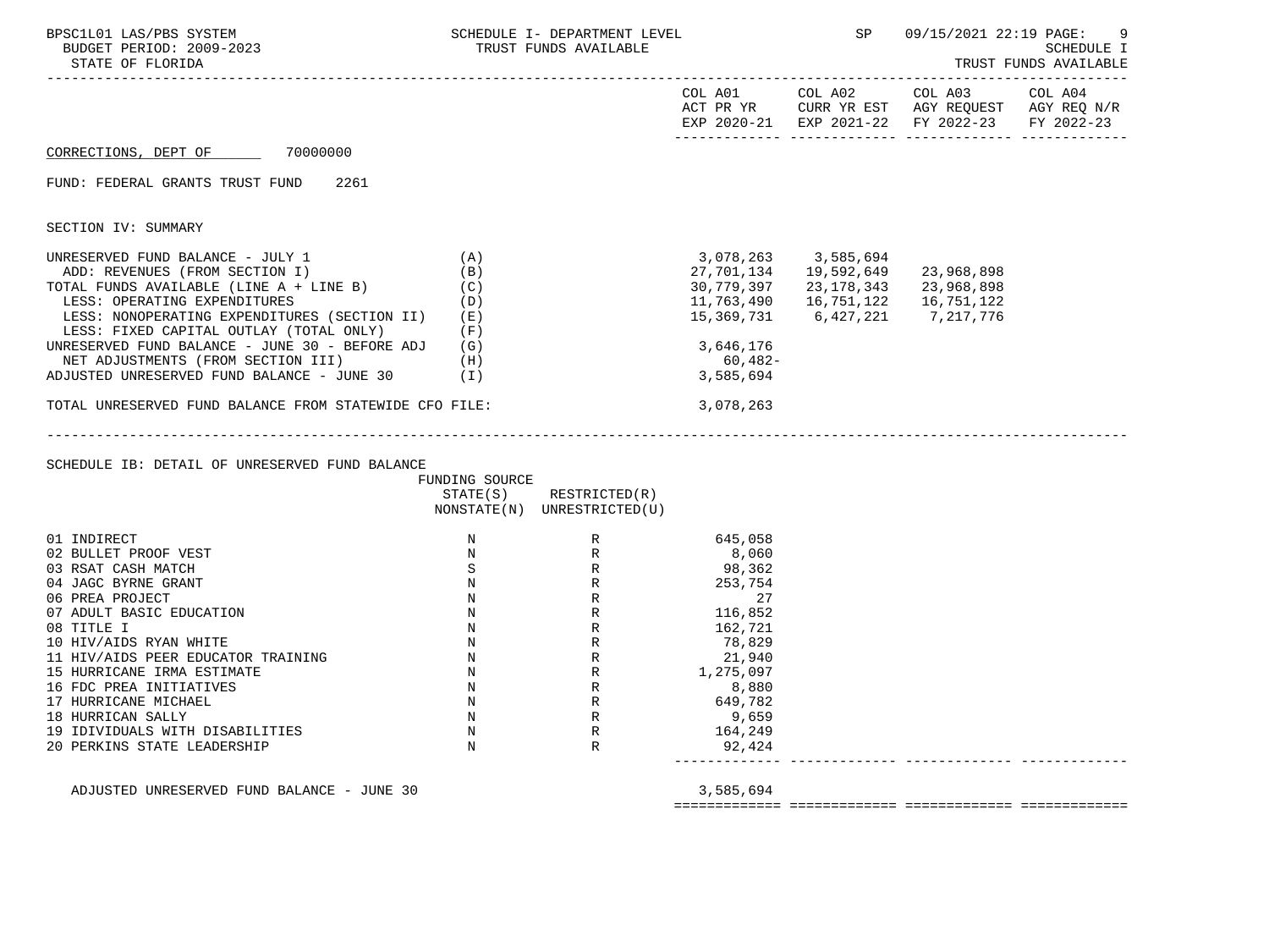| BPSC1L01 LAS/PBS SYSTEM<br>BUDGET PERIOD: 2009-2023<br>STATE OF FLORIDA |                | SCHEDULE I- DEPARTMENT LEVEL<br>TRUST FUNDS AVAILABLE                 |            | SP <sub>3</sub>                  | 09/15/2021 22:19 PAGE:                                                                                                                                                                                                                                                                             | 9<br>SCHEDULE I<br>TRUST FUNDS AVAILABLE |
|-------------------------------------------------------------------------|----------------|-----------------------------------------------------------------------|------------|----------------------------------|----------------------------------------------------------------------------------------------------------------------------------------------------------------------------------------------------------------------------------------------------------------------------------------------------|------------------------------------------|
|                                                                         |                |                                                                       |            |                                  | $\begin{tabular}{lllllllllll} \multicolumn{2}{l}{{\text{COL A01}}} & \multicolumn{2}{c}{\text{COL A02}} & \multicolumn{2}{c}{\text{COL A03}} & \multicolumn{2}{c}{\text{COL A04}} \end{tabular}$<br>ACT PR YR CURR YR EST AGY REQUEST AGY REQ N/R<br>EXP 2020-21 EXP 2021-22 FY 2022-23 FY 2022-23 |                                          |
| CORRECTIONS, DEPT OF 70000000                                           |                |                                                                       |            |                                  |                                                                                                                                                                                                                                                                                                    |                                          |
| FUND: FEDERAL GRANTS TRUST FUND 2261                                    |                |                                                                       |            |                                  |                                                                                                                                                                                                                                                                                                    |                                          |
| SECTION IV: SUMMARY                                                     |                |                                                                       |            |                                  |                                                                                                                                                                                                                                                                                                    |                                          |
| UNRESERVED FUND BALANCE - JULY 1                                        | (A)            |                                                                       |            | 3,078,263 3,585,694              |                                                                                                                                                                                                                                                                                                    |                                          |
| ADD: REVENUES (FROM SECTION I)                                          | (B)            |                                                                       |            | 27,701,134   19,592,649          | 23,968,898                                                                                                                                                                                                                                                                                         |                                          |
| TOTAL FUNDS AVAILABLE (LINE $A + LINE B$ ) (C)                          |                |                                                                       |            | 30,779,397 23,178,343 23,968,898 |                                                                                                                                                                                                                                                                                                    |                                          |
| LESS: OPERATING EXPENDITURES                                            | (D)            |                                                                       | 11,763,490 | 16,751,122                       | 16,751,122                                                                                                                                                                                                                                                                                         |                                          |
| LESS: NONOPERATING EXPENDITURES (SECTION II) (E)                        |                |                                                                       | 15,369,731 | 6,427,221                        | 7,217,776                                                                                                                                                                                                                                                                                          |                                          |
| LESS: FIXED CAPITAL OUTLAY (TOTAL ONLY) (F)                             |                |                                                                       |            |                                  |                                                                                                                                                                                                                                                                                                    |                                          |
| UNRESERVED FUND BALANCE - JUNE 30 - BEFORE ADJ (G)                      |                |                                                                       | 3,646,176  |                                  |                                                                                                                                                                                                                                                                                                    |                                          |
| (H)<br>NET ADJUSTMENTS (FROM SECTION III)                               |                |                                                                       | 60,482-    |                                  |                                                                                                                                                                                                                                                                                                    |                                          |
| ADJUSTED UNRESERVED FUND BALANCE - JUNE $30$ (I)                        |                |                                                                       | 3,585,694  |                                  |                                                                                                                                                                                                                                                                                                    |                                          |
| TOTAL UNRESERVED FUND BALANCE FROM STATEWIDE CFO FILE:                  |                |                                                                       | 3,078,263  |                                  |                                                                                                                                                                                                                                                                                                    |                                          |
|                                                                         |                |                                                                       |            |                                  |                                                                                                                                                                                                                                                                                                    |                                          |
| SCHEDULE IB: DETAIL OF UNRESERVED FUND BALANCE                          | FUNDING SOURCE |                                                                       |            |                                  |                                                                                                                                                                                                                                                                                                    |                                          |
|                                                                         |                | $STATE(S)$ RESTRICTED $(R)$                                           |            |                                  |                                                                                                                                                                                                                                                                                                    |                                          |
|                                                                         |                | NONSTATE(N) UNRESTRICTED(U)                                           |            |                                  |                                                                                                                                                                                                                                                                                                    |                                          |
| 01 INDIRECT                                                             | $\mathbf N$    | R                                                                     | 645,058    |                                  |                                                                                                                                                                                                                                                                                                    |                                          |
| 02 BULLET PROOF VEST                                                    | $\mathbb N$    | $\begin{array}{c} \mathbf{R} \\ \mathbf{R} \\ \mathbf{R} \end{array}$ | 8,060      |                                  |                                                                                                                                                                                                                                                                                                    |                                          |
| 03 RSAT CASH MATCH                                                      | $\mathbf S$    |                                                                       | 98,362     |                                  |                                                                                                                                                                                                                                                                                                    |                                          |
| 04 JAGC BYRNE GRANT                                                     | N              |                                                                       | 253,754    |                                  |                                                                                                                                                                                                                                                                                                    |                                          |
| 06 PREA PROJECT                                                         | $\mathbb N$    |                                                                       | 27         |                                  |                                                                                                                                                                                                                                                                                                    |                                          |
| 07 ADULT BASIC EDUCATION                                                | $\mathbb N$    |                                                                       | 116,852    |                                  |                                                                                                                                                                                                                                                                                                    |                                          |
| 08 TITLE I                                                              | $\mathbb N$    |                                                                       | 162,721    |                                  |                                                                                                                                                                                                                                                                                                    |                                          |
| 10 HIV/AIDS RYAN WHITE                                                  | $\mathbb N$    |                                                                       | 78,829     |                                  |                                                                                                                                                                                                                                                                                                    |                                          |
| 11 HIV/AIDS PEER EDUCATOR TRAINING                                      | $\mathbb N$    |                                                                       | 21,940     |                                  |                                                                                                                                                                                                                                                                                                    |                                          |
| 15 HURRICANE IRMA ESTIMATE                                              | $\mathbb N$    | K<br>R<br>R<br>R<br>R<br>R<br>R<br>R<br>R                             | 1,275,097  |                                  |                                                                                                                                                                                                                                                                                                    |                                          |
| 16 FDC PREA INITIATIVES                                                 | $\mathbb N$    |                                                                       | 8,880      |                                  |                                                                                                                                                                                                                                                                                                    |                                          |
| 17 HURRICANE MICHAEL                                                    | $\mathbb N$    | R                                                                     | 649,782    |                                  |                                                                                                                                                                                                                                                                                                    |                                          |
| 18 HURRICAN SALLY                                                       | $\mathbb N$    | R                                                                     | 9,659      |                                  |                                                                                                                                                                                                                                                                                                    |                                          |
| 19 IDIVIDUALS WITH DISABILITIES                                         | $\mathbf N$    | $\mathbb R$                                                           | 164,249    |                                  |                                                                                                                                                                                                                                                                                                    |                                          |
| 20 PERKINS STATE LEADERSHIP                                             | $_{\rm N}$     | $\mathbb{R}$                                                          | 92,424     |                                  |                                                                                                                                                                                                                                                                                                    |                                          |

ADJUSTED UNRESERVED FUND BALANCE - JUNE 30 3,585,694

============= ============= ============= =============

------------- ------------- ------------- -------------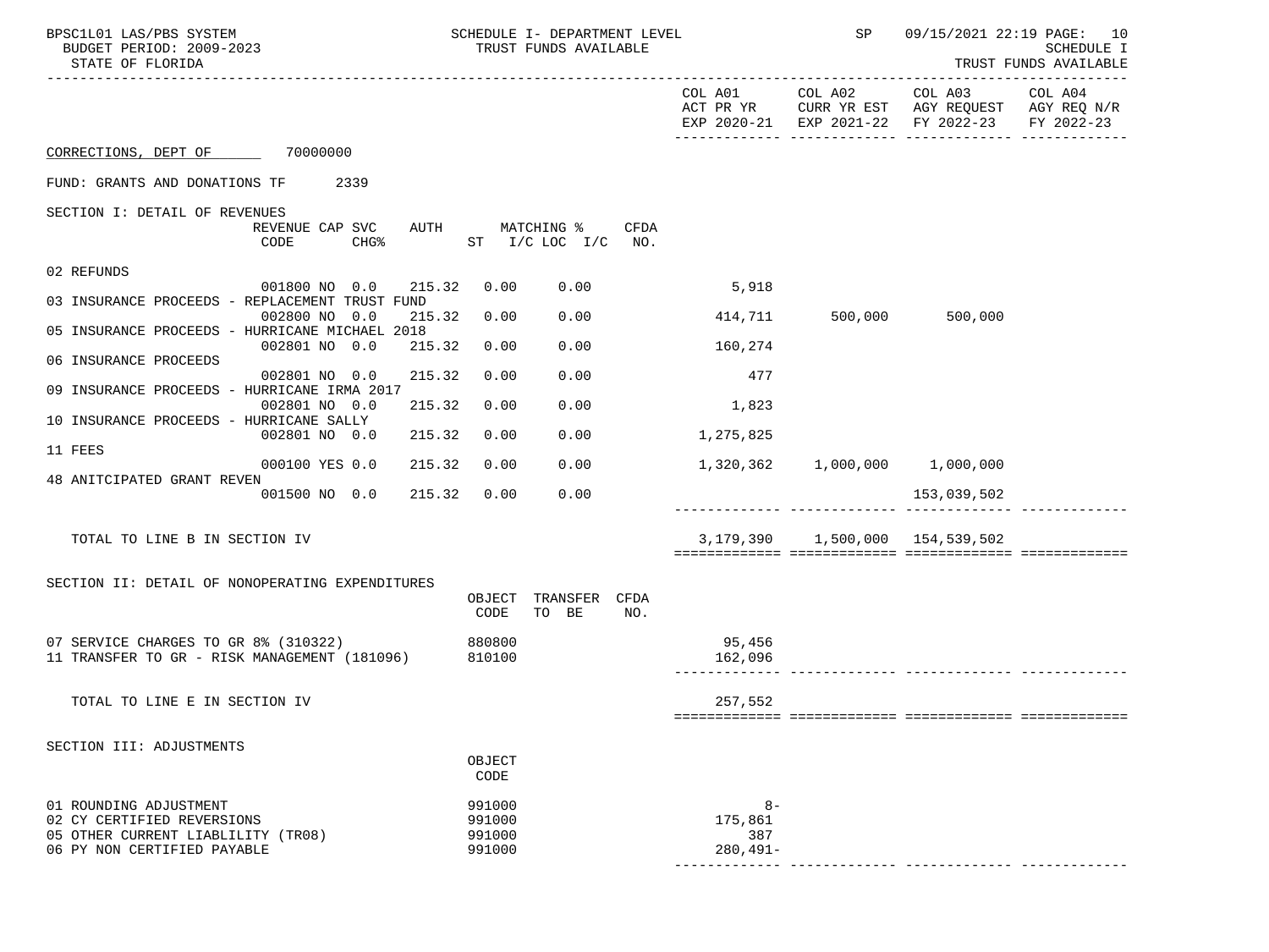| BPSC1L01 LAS/PBS SYSTEM<br>BUDGET PERIOD: 2009-2023<br>STATE OF FLORIDA                                                   | SCHEDULE I- DEPARTMENT LEVEL<br>TRUST FUNDS AVAILABLE |                                      | SP                                    | 09/15/2021 22:19 PAGE: 10                                                            | <b>SCHEDULE I</b><br>TRUST FUNDS AVAILABLE |
|---------------------------------------------------------------------------------------------------------------------------|-------------------------------------------------------|--------------------------------------|---------------------------------------|--------------------------------------------------------------------------------------|--------------------------------------------|
|                                                                                                                           |                                                       | COL A01<br>ACT PR YR                 | COL A02                               | COL A03<br>CURR YR EST AGY REQUEST AGY REQ N/R<br>EXP 2020-21 EXP 2021-22 FY 2022-23 | COL A04<br>FY 2022-23                      |
| CORRECTIONS, DEPT OF 70000000                                                                                             |                                                       |                                      |                                       |                                                                                      |                                            |
| FUND: GRANTS AND DONATIONS TF<br>2339                                                                                     |                                                       |                                      |                                       |                                                                                      |                                            |
| SECTION I: DETAIL OF REVENUES                                                                                             |                                                       |                                      |                                       |                                                                                      |                                            |
| REVENUE CAP SVC<br>AUTH<br>CHG <sup>8</sup><br>CODE                                                                       | MATCHING %<br>CFDA<br>ST I/CLOCI/CNO.                 |                                      |                                       |                                                                                      |                                            |
| 02 REFUNDS                                                                                                                |                                                       |                                      |                                       |                                                                                      |                                            |
| 001800 NO 0.0<br>215.32<br>03 INSURANCE PROCEEDS - REPLACEMENT TRUST FUND                                                 | 0.00<br>0.00                                          | 5,918                                |                                       |                                                                                      |                                            |
| 002800 NO 0.0<br>215.32                                                                                                   | 0.00<br>0.00                                          | 414,711                              | 500,000                               | 500,000                                                                              |                                            |
| 05 INSURANCE PROCEEDS - HURRICANE MICHAEL 2018<br>002801 NO 0.0<br>215.32                                                 | 0.00<br>0.00                                          | 160,274                              |                                       |                                                                                      |                                            |
| 06 INSURANCE PROCEEDS                                                                                                     |                                                       |                                      |                                       |                                                                                      |                                            |
| 215.32<br>002801 NO 0.0<br>09 INSURANCE PROCEEDS - HURRICANE IRMA 2017                                                    | 0.00<br>0.00                                          | 477                                  |                                       |                                                                                      |                                            |
| 215.32<br>002801 NO 0.0                                                                                                   | 0.00<br>0.00                                          | 1,823                                |                                       |                                                                                      |                                            |
| 10 INSURANCE PROCEEDS - HURRICANE SALLY                                                                                   |                                                       |                                      |                                       |                                                                                      |                                            |
| 002801 NO 0.0<br>215.32<br>11 FEES                                                                                        | 0.00<br>0.00                                          | 1,275,825                            |                                       |                                                                                      |                                            |
| 000100 YES 0.0<br>215.32                                                                                                  | 0.00<br>0.00                                          | 1,320,362                            |                                       | $1,000,000$ $1,000,000$                                                              |                                            |
| 48 ANITCIPATED GRANT REVEN<br>215.32<br>001500 NO 0.0                                                                     | 0.00<br>0.00                                          |                                      |                                       | 153,039,502                                                                          |                                            |
|                                                                                                                           |                                                       |                                      |                                       |                                                                                      |                                            |
| TOTAL TO LINE B IN SECTION IV                                                                                             |                                                       |                                      | 3, 179, 390 1, 500, 000 154, 539, 502 |                                                                                      |                                            |
|                                                                                                                           |                                                       |                                      |                                       |                                                                                      |                                            |
| SECTION II: DETAIL OF NONOPERATING EXPENDITURES                                                                           | TRANSFER<br>OBJECT<br>CFDA<br>CODE<br>TO BE<br>NO.    |                                      |                                       |                                                                                      |                                            |
| 07 SERVICE CHARGES TO GR 8% (310322)<br>11 TRANSFER TO GR - RISK MANAGEMENT (181096)                                      | 880800<br>810100                                      | 95,456<br>162,096                    |                                       |                                                                                      |                                            |
|                                                                                                                           |                                                       |                                      |                                       |                                                                                      |                                            |
| TOTAL TO LINE E IN SECTION IV                                                                                             |                                                       | 257,552                              |                                       |                                                                                      |                                            |
| SECTION III: ADJUSTMENTS                                                                                                  |                                                       |                                      |                                       |                                                                                      |                                            |
|                                                                                                                           | OBJECT<br>CODE                                        |                                      |                                       |                                                                                      |                                            |
| 01 ROUNDING ADJUSTMENT<br>02 CY CERTIFIED REVERSIONS<br>05 OTHER CURRENT LIABLILITY (TR08)<br>06 PY NON CERTIFIED PAYABLE | 991000<br>991000<br>991000<br>991000                  | $8-$<br>175,861<br>387<br>$280,491-$ |                                       |                                                                                      |                                            |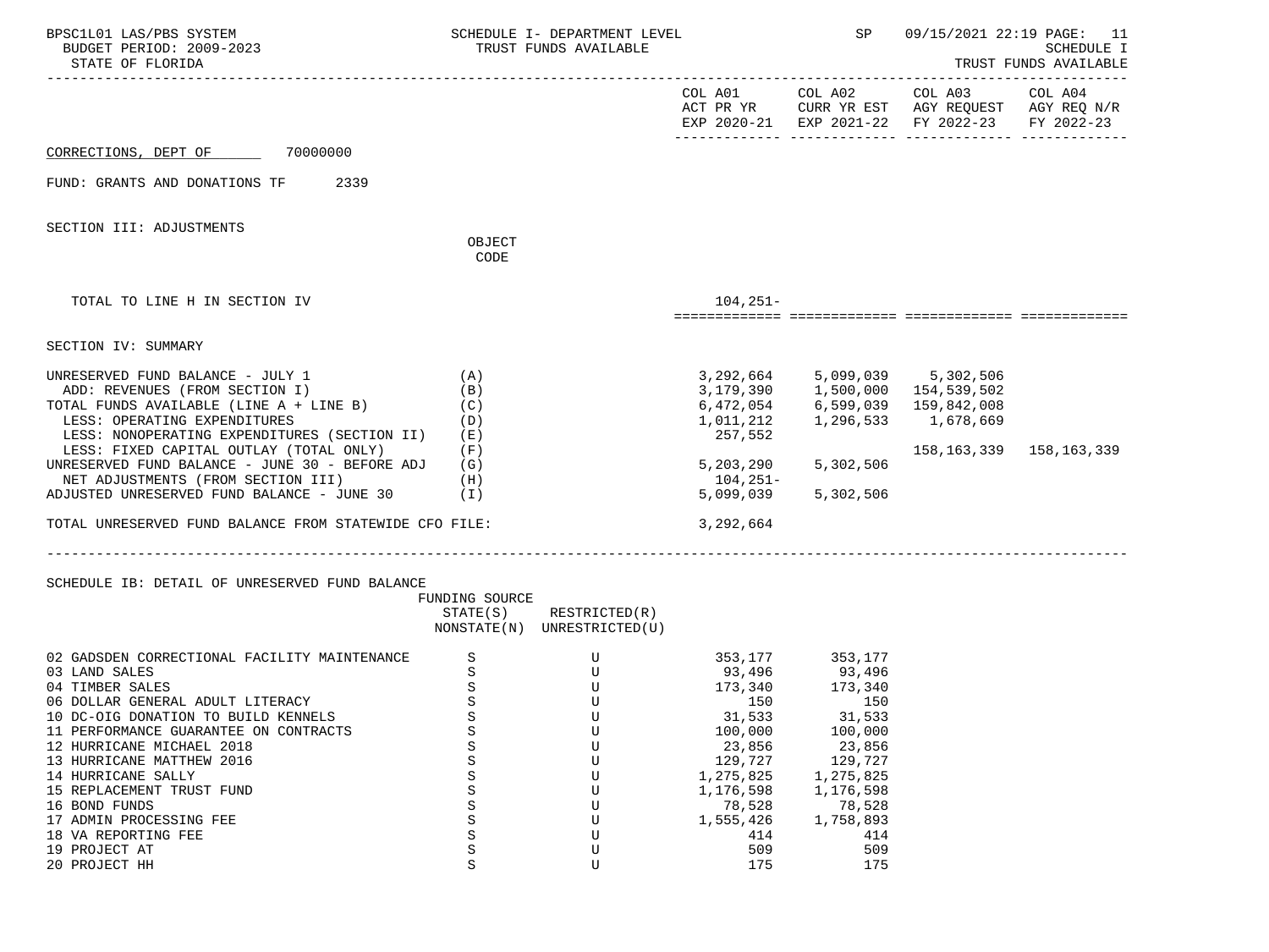| BPSC1L01 LAS/PBS SYSTEM<br>BUDGET PERIOD: 2009-2023<br>STATE OF FLORIDA                                                                                                                                                                                                                                                                                                                                                                                                                               |                                                                                                       | SCHEDULE I- DEPARTMENT LEVEL<br>TRUST FUNDS AVAILABLE                                                         |                                                                                                                                      | <b>SP</b>                                                                                                                                                     | 09/15/2021 22:19 PAGE: 11                                                                                                         | SCHEDULE I<br>TRUST FUNDS AVAILABLE |
|-------------------------------------------------------------------------------------------------------------------------------------------------------------------------------------------------------------------------------------------------------------------------------------------------------------------------------------------------------------------------------------------------------------------------------------------------------------------------------------------------------|-------------------------------------------------------------------------------------------------------|---------------------------------------------------------------------------------------------------------------|--------------------------------------------------------------------------------------------------------------------------------------|---------------------------------------------------------------------------------------------------------------------------------------------------------------|-----------------------------------------------------------------------------------------------------------------------------------|-------------------------------------|
|                                                                                                                                                                                                                                                                                                                                                                                                                                                                                                       |                                                                                                       |                                                                                                               |                                                                                                                                      |                                                                                                                                                               | COL A01 COL A02 COL A03 COL A04<br>ACT PR YR CURR YR EST AGY REQUEST AGY REQ N/R<br>EXP 2020-21 EXP 2021-22 FY 2022-23 FY 2022-23 |                                     |
| CORRECTIONS, DEPT OF 70000000                                                                                                                                                                                                                                                                                                                                                                                                                                                                         |                                                                                                       |                                                                                                               |                                                                                                                                      |                                                                                                                                                               |                                                                                                                                   |                                     |
| FUND: GRANTS AND DONATIONS TF 2339                                                                                                                                                                                                                                                                                                                                                                                                                                                                    |                                                                                                       |                                                                                                               |                                                                                                                                      |                                                                                                                                                               |                                                                                                                                   |                                     |
| SECTION III: ADJUSTMENTS                                                                                                                                                                                                                                                                                                                                                                                                                                                                              | OBJECT                                                                                                |                                                                                                               |                                                                                                                                      |                                                                                                                                                               |                                                                                                                                   |                                     |
|                                                                                                                                                                                                                                                                                                                                                                                                                                                                                                       | CODE                                                                                                  |                                                                                                               |                                                                                                                                      |                                                                                                                                                               |                                                                                                                                   |                                     |
| TOTAL TO LINE H IN SECTION IV                                                                                                                                                                                                                                                                                                                                                                                                                                                                         |                                                                                                       |                                                                                                               | $104, 251 -$                                                                                                                         |                                                                                                                                                               |                                                                                                                                   |                                     |
| SECTION IV: SUMMARY                                                                                                                                                                                                                                                                                                                                                                                                                                                                                   |                                                                                                       |                                                                                                               |                                                                                                                                      |                                                                                                                                                               |                                                                                                                                   |                                     |
| UNRESERVED FUND BALANCE - JULY 1<br>ADD: REVENUES (FROM SECTION I)<br>TOTAL FUNDS AVAILABLE (LINE $A + LINE B$ ) (C)<br>LESS: OPERATING EXPENDITURES<br>LESS: NONOPERATING EXPENDITURES (SECTION II)<br>LESS: FIXED CAPITAL OUTLAY (TOTAL ONLY)<br>UNRESERVED FUND BALANCE - JUNE 30 - BEFORE ADJ<br>NET ADJUSTMENTS (FROM SECTION III)<br>ADJUSTED UNRESERVED FUND BALANCE - JUNE 30 (I)<br>TOTAL UNRESERVED FUND BALANCE FROM STATEWIDE CFO FILE:<br>SCHEDULE IB: DETAIL OF UNRESERVED FUND BALANCE | (A)<br>(B)<br>(D)<br>( E )<br>(F)<br>(G)<br>(H)<br>FUNDING SOURCE                                     | $STATE(S)$ RESTRICTED $(R)$<br>NONSTATE(N) UNRESTRICTED(U)                                                    | 6,472,054<br>1,011,212<br>257,552<br>5,203,290<br>104,251-<br>5,099,039<br>3,292,664                                                 | 6,599,039<br>1,296,533<br>5,302,506<br>5,302,506                                                                                                              | 3, 292, 664 5, 099, 039 5, 302, 506<br>3, 179, 390 1, 500, 000 154, 539, 502<br>159,842,008<br>1,678,669<br>158,163,339           | 158,163,339                         |
| 02 GADSDEN CORRECTIONAL FACILITY MAINTENANCE<br>03 LAND SALES<br>04 TIMBER SALES<br>06 DOLLAR GENERAL ADULT LITERACY<br>10 DC-OIG DONATION TO BUILD KENNELS<br>11 PERFORMANCE GUARANTEE ON CONTRACTS<br>12 HURRICANE MICHAEL 2018<br>13 HURRICANE MATTHEW 2016<br>14 HURRICANE SALLY<br>15 REPLACEMENT TRUST FUND<br>16 BOND FUNDS<br>17 ADMIN PROCESSING FEE<br>18 VA REPORTING FEE<br>19 PROJECT AT<br>20 PROJECT HH                                                                                | S<br>S<br>$\rm S$<br>$\rm S$<br>$\rm S$<br>S<br>S<br>S<br>S<br>S<br>S<br>S<br>S<br>$\rm S$<br>$\rm S$ | $\begin{matrix} U\\ U\end{matrix}$<br>$\mathbf U$<br>U<br>U<br>U<br>U<br>U<br>U<br>U<br>U<br>U<br>U<br>U<br>U | 93,496<br>(173, 340)<br>31,533<br>100,000<br>23,856<br>129,727<br>1,275,825<br>1,176,598<br>78,528<br>1,555,426<br>414<br>509<br>175 | 353, 177 353, 177<br>93,496<br>173,340<br>150<br>31,533<br>100,000<br>23,856<br>129,727<br>1,275,825<br>1,176,598<br>78,528<br>1,758,893<br>414<br>509<br>175 |                                                                                                                                   |                                     |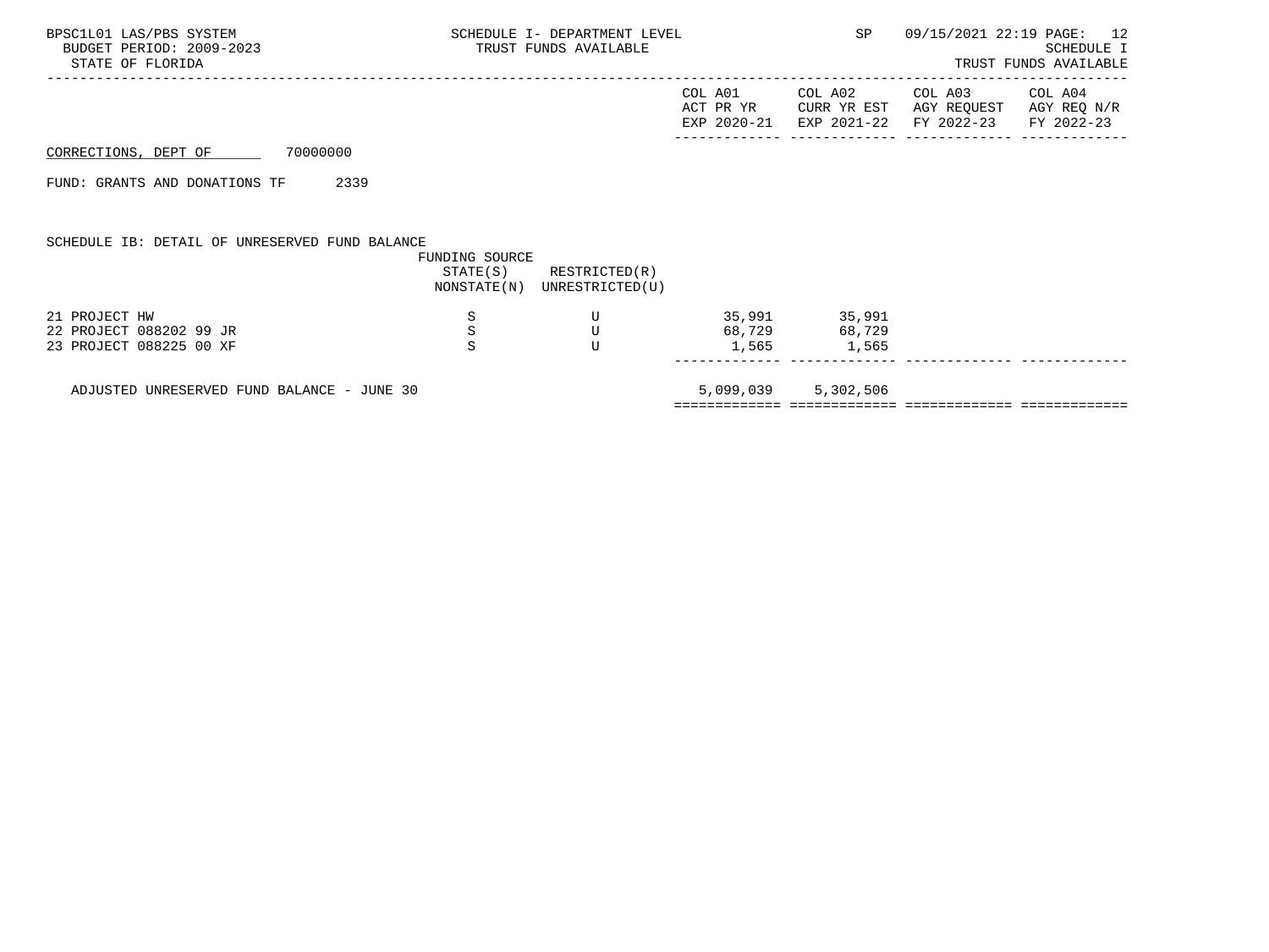|                                                |                | TRUST FUNDS AVAILABLE       | SCHEDULE I- DEPARTMENT LEVEL | SP            | 09/15/2021 22:19 PAGE: 12                                                                                 | SCHEDULE I<br>TRUST FUNDS AVAILABLE |
|------------------------------------------------|----------------|-----------------------------|------------------------------|---------------|-----------------------------------------------------------------------------------------------------------|-------------------------------------|
|                                                |                |                             | COL A01                      | COL A02       | COL A03<br>ACT PR YR CURR YR EST AGY REQUEST AGY REQ N/R<br>EXP 2020-21 EXP 2021-22 FY 2022-23 FY 2022-23 | COL A04                             |
| 70000000<br>CORRECTIONS, DEPT OF               |                |                             |                              |               |                                                                                                           |                                     |
| 2339<br>FUND: GRANTS AND DONATIONS TF          |                |                             |                              |               |                                                                                                           |                                     |
| SCHEDULE IB: DETAIL OF UNRESERVED FUND BALANCE | FUNDING SOURCE | $STATE(S)$ RESTRICTED $(R)$ |                              |               |                                                                                                           |                                     |
|                                                |                | NONSTATE(N) UNRESTRICTED(U) |                              |               |                                                                                                           |                                     |
| 21 PROJECT HW<br>22 PROJECT 088202 99 JR       | S<br>S         | U                           |                              | 35,991 35,991 |                                                                                                           |                                     |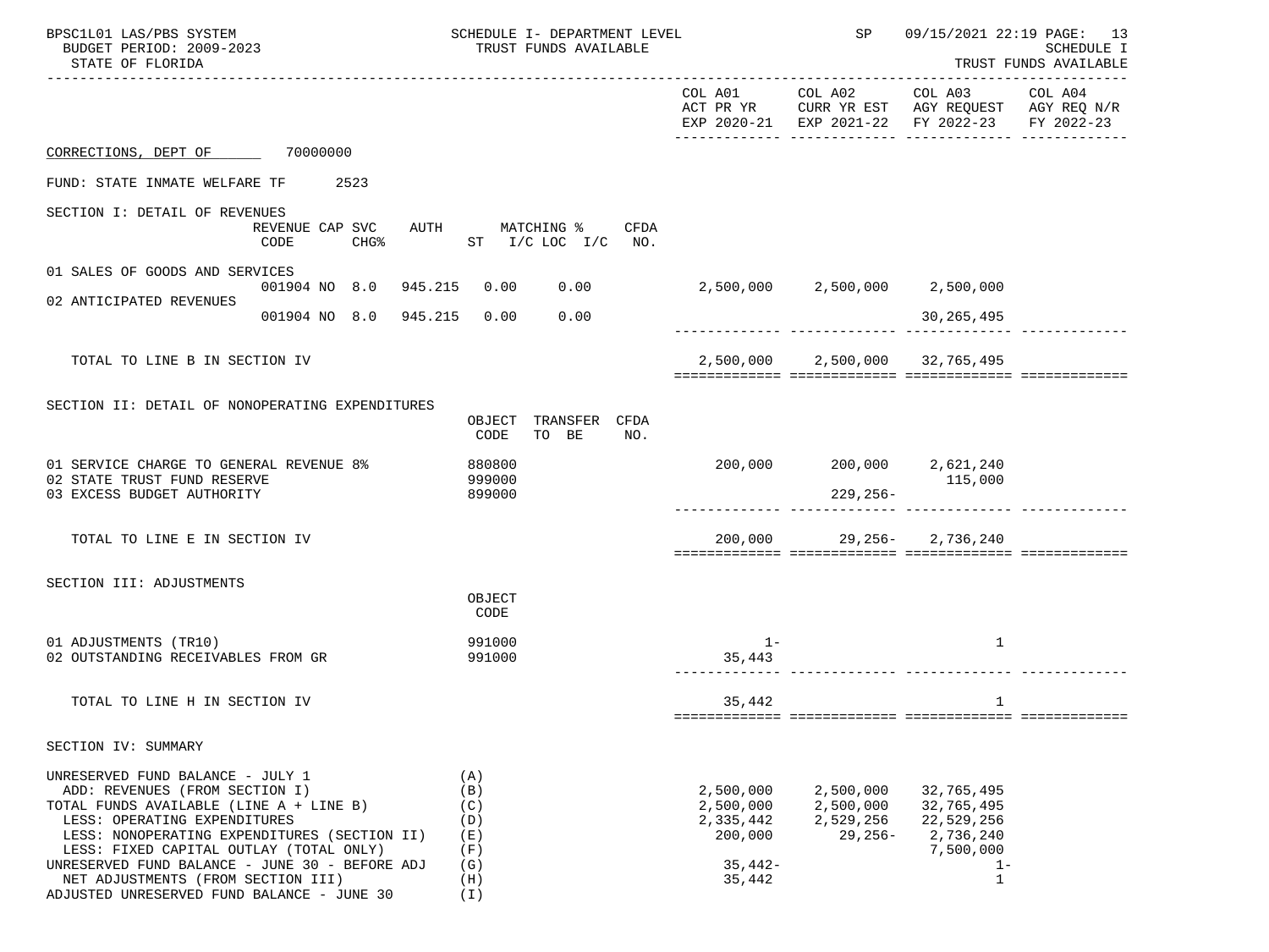| BPSC1L01 LAS/PBS SYSTEM<br>BUDGET PERIOD: 2009-2023<br>STATE OF FLORIDA                                                                                                                                                                                                                                                                                                        |                                             | SCHEDULE I- DEPARTMENT LEVEL<br>TRUST FUNDS AVAILABLE                      | SP                                                                    | 09/15/2021 22:19 PAGE: 13<br>SCHEDULE I<br>TRUST FUNDS AVAILABLE |                                                                                                                                   |  |
|--------------------------------------------------------------------------------------------------------------------------------------------------------------------------------------------------------------------------------------------------------------------------------------------------------------------------------------------------------------------------------|---------------------------------------------|----------------------------------------------------------------------------|-----------------------------------------------------------------------|------------------------------------------------------------------|-----------------------------------------------------------------------------------------------------------------------------------|--|
|                                                                                                                                                                                                                                                                                                                                                                                |                                             |                                                                            |                                                                       |                                                                  | COL A01 COL A02 COL A03 COL A04<br>ACT PR YR CURR YR EST AGY REQUEST AGY REQ N/R<br>EXP 2020-21 EXP 2021-22 FY 2022-23 FY 2022-23 |  |
| CORRECTIONS, DEPT OF 70000000                                                                                                                                                                                                                                                                                                                                                  |                                             |                                                                            |                                                                       |                                                                  |                                                                                                                                   |  |
| FUND: STATE INMATE WELFARE TF                                                                                                                                                                                                                                                                                                                                                  | 2523                                        |                                                                            |                                                                       |                                                                  |                                                                                                                                   |  |
| SECTION I: DETAIL OF REVENUES                                                                                                                                                                                                                                                                                                                                                  | REVENUE CAP SVC<br>CHG <sup>8</sup><br>CODE | AUTH MATCHING %<br>CFDA<br>ST $I/C$ LOC $I/C$ NO.                          |                                                                       |                                                                  |                                                                                                                                   |  |
| 01 SALES OF GOODS AND SERVICES                                                                                                                                                                                                                                                                                                                                                 |                                             |                                                                            |                                                                       |                                                                  |                                                                                                                                   |  |
| 02 ANTICIPATED REVENUES                                                                                                                                                                                                                                                                                                                                                        | 001904 NO 8.0 945.215 0.00 0.00             |                                                                            | $2,500,000$ $2,500,000$ $2,500,000$                                   |                                                                  |                                                                                                                                   |  |
|                                                                                                                                                                                                                                                                                                                                                                                | 001904 NO 8.0 945.215                       | 0.00<br>0.00                                                               |                                                                       |                                                                  | 30,265,495                                                                                                                        |  |
| TOTAL TO LINE B IN SECTION IV                                                                                                                                                                                                                                                                                                                                                  |                                             |                                                                            |                                                                       | 2,500,000 2,500,000 32,765,495                                   |                                                                                                                                   |  |
| SECTION II: DETAIL OF NONOPERATING EXPENDITURES<br>01 SERVICE CHARGE TO GENERAL REVENUE 8%<br>02 STATE TRUST FUND RESERVE<br>03 EXCESS BUDGET AUTHORITY                                                                                                                                                                                                                        |                                             | OBJECT TRANSFER CFDA<br>TO BE<br>CODE<br>NO.<br>880800<br>999000<br>899000 |                                                                       | $200,000$ $200,000$ $2,621,240$<br>229,256-                      | 115,000                                                                                                                           |  |
| TOTAL TO LINE E IN SECTION IV                                                                                                                                                                                                                                                                                                                                                  |                                             |                                                                            |                                                                       | 200,000 29,256- 2,736,240                                        |                                                                                                                                   |  |
| SECTION III: ADJUSTMENTS                                                                                                                                                                                                                                                                                                                                                       |                                             | OBJECT<br>CODE                                                             |                                                                       |                                                                  |                                                                                                                                   |  |
| 01 ADJUSTMENTS (TR10)<br>02 OUTSTANDING RECEIVABLES FROM GR                                                                                                                                                                                                                                                                                                                    |                                             | 991000<br>991000                                                           | $1 -$<br>35,443                                                       |                                                                  | $\mathbf{1}$                                                                                                                      |  |
| TOTAL TO LINE H IN SECTION IV                                                                                                                                                                                                                                                                                                                                                  |                                             |                                                                            | 35,442                                                                |                                                                  | 1                                                                                                                                 |  |
| SECTION IV: SUMMARY                                                                                                                                                                                                                                                                                                                                                            |                                             |                                                                            |                                                                       |                                                                  |                                                                                                                                   |  |
| UNRESERVED FUND BALANCE - JULY 1<br>ADD: REVENUES (FROM SECTION I)<br>TOTAL FUNDS AVAILABLE (LINE A + LINE B)<br>LESS: OPERATING EXPENDITURES<br>LESS: NONOPERATING EXPENDITURES (SECTION II)<br>LESS: FIXED CAPITAL OUTLAY (TOTAL ONLY)<br>UNRESERVED FUND BALANCE - JUNE 30 - BEFORE ADJ<br>NET ADJUSTMENTS (FROM SECTION III)<br>ADJUSTED UNRESERVED FUND BALANCE - JUNE 30 |                                             | (A)<br>(B)<br>(C)<br>(D)<br>(E)<br>(F)<br>(G)<br>(H)<br>(I)                | 2,500,000<br>2,500,000<br>2,335,442<br>200,000<br>$35,442-$<br>35,442 | 2,500,000<br>2,500,000<br>2,529,256<br>$29,256-$                 | 32,765,495<br>32,765,495<br>22,529,256<br>2,736,240<br>7,500,000<br>$1 -$<br>1                                                    |  |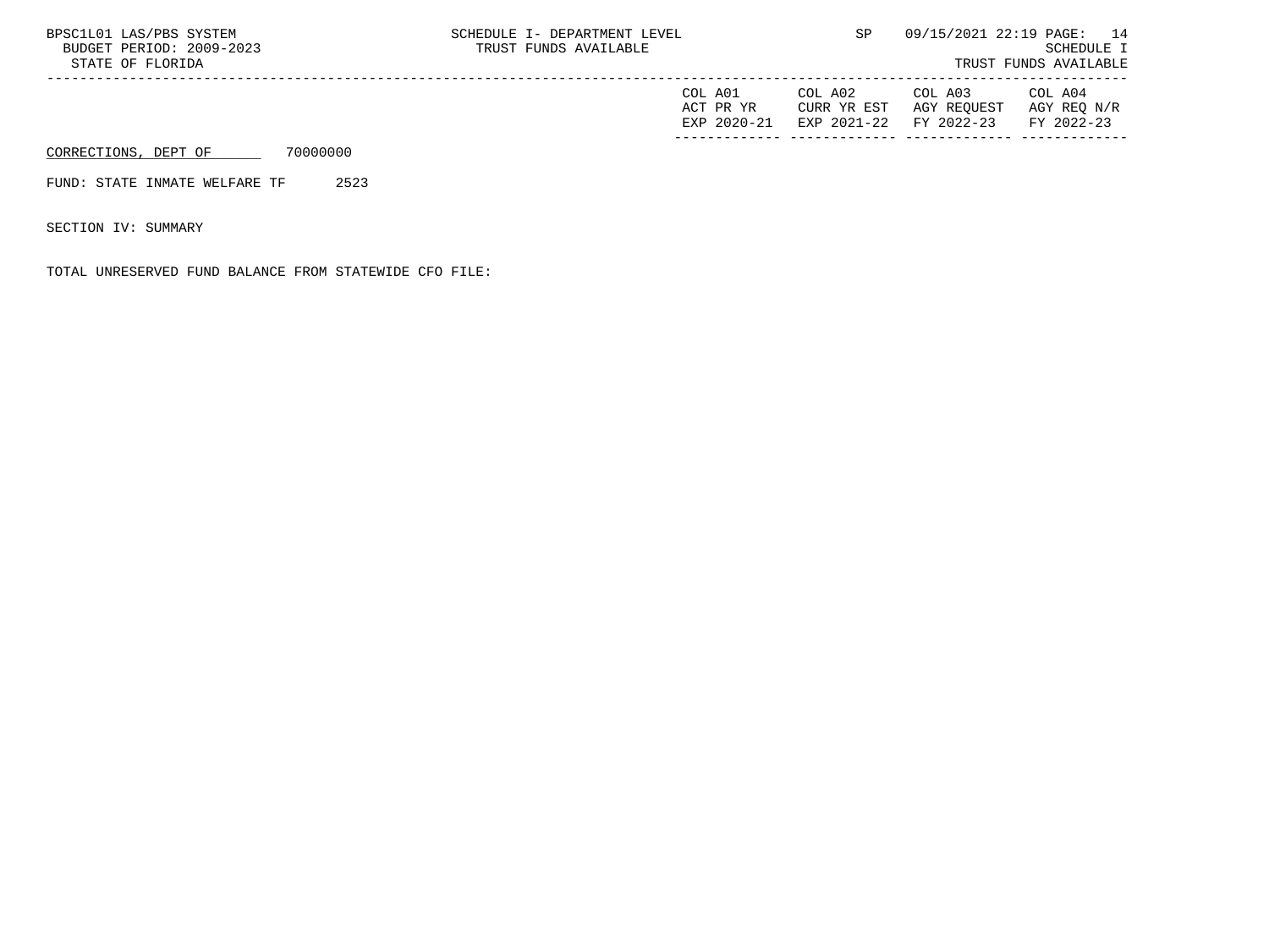| BPSC1L01 LAS/PBS SYSTEM<br>BUDGET PERIOD: 2009-2023<br>STATE OF FLORIDA | SCHEDULE I- DEPARTMENT LEVEL<br>TRUST FUNDS AVAILABLE |                                     |                                       |                                      | 09/15/2021 22:19 PAGE: 14<br>SCHEDULE I<br>TRUST FUNDS AVAILABLE |  |  |
|-------------------------------------------------------------------------|-------------------------------------------------------|-------------------------------------|---------------------------------------|--------------------------------------|------------------------------------------------------------------|--|--|
|                                                                         |                                                       | COL A01<br>ACT PR YR<br>EXP 2020-21 | COL A02<br>CURR YR EST<br>EXP 2021-22 | COL A03<br>AGY REOUEST<br>FY 2022-23 | COL A04<br>AGY REO N/R<br>FY 2022-23                             |  |  |
| CORRECTIONS, DEPT OF                                                    | 70000000                                              |                                     |                                       |                                      |                                                                  |  |  |

FUND: STATE INMATE WELFARE TF 2523

SECTION IV: SUMMARY

TOTAL UNRESERVED FUND BALANCE FROM STATEWIDE CFO FILE: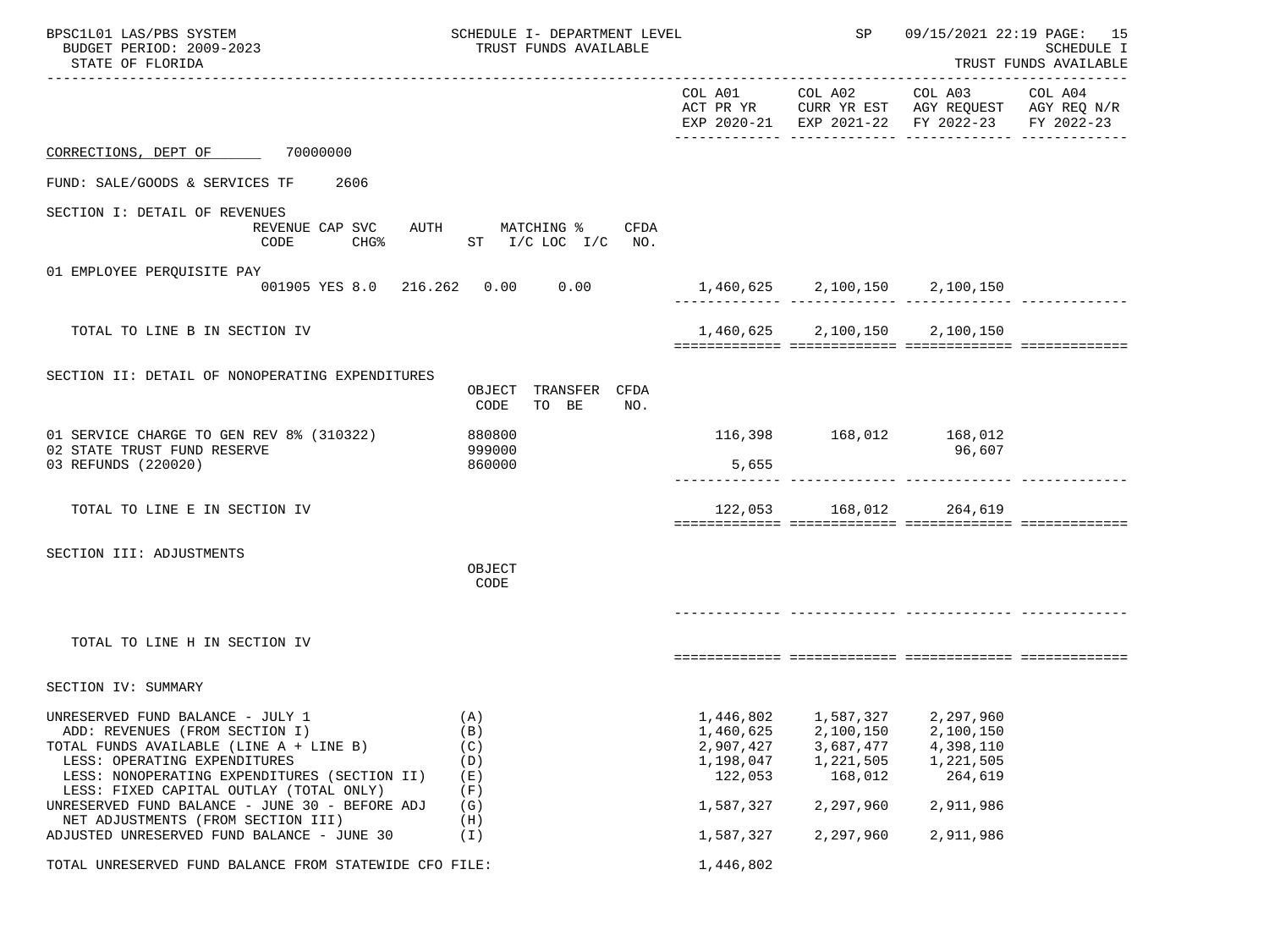| BPSC1L01 LAS/PBS SYSTEM<br>BUDGET PERIOD: 2009-2023<br>STATE OF FLORIDA                                                                                                                                                                  | SCHEDULE I- DEPARTMENT LEVEL<br>TRUST FUNDS AVAILABLE | SP                                                          | 09/15/2021 22:19 PAGE: 15<br>SCHEDULE I<br>TRUST FUNDS AVAILABLE |                                                                                                |                       |
|------------------------------------------------------------------------------------------------------------------------------------------------------------------------------------------------------------------------------------------|-------------------------------------------------------|-------------------------------------------------------------|------------------------------------------------------------------|------------------------------------------------------------------------------------------------|-----------------------|
|                                                                                                                                                                                                                                          |                                                       |                                                             | COL A01 COL A02                                                  | COL A03<br>ACT PR YR CURR YR EST AGY REQUEST AGY REQ N/R<br>EXP 2020-21 EXP 2021-22 FY 2022-23 | COL A04<br>FY 2022-23 |
| CORRECTIONS, DEPT OF 70000000                                                                                                                                                                                                            |                                                       |                                                             |                                                                  |                                                                                                |                       |
| FUND: SALE/GOODS & SERVICES TF<br>2606                                                                                                                                                                                                   |                                                       |                                                             |                                                                  |                                                                                                |                       |
| SECTION I: DETAIL OF REVENUES<br>REVENUE CAP SVC<br>CODE                                                                                                                                                                                 | AUTH MATCHING % CFDA<br>CHG% ST I/C LOC I/C NO.       |                                                             |                                                                  |                                                                                                |                       |
| 01 EMPLOYEE PERQUISITE PAY<br>001905 YES 8.0 216.262 0.00 0.00                                                                                                                                                                           |                                                       | 1,460,625 2,100,150 2,100,150                               |                                                                  |                                                                                                |                       |
| TOTAL TO LINE B IN SECTION IV                                                                                                                                                                                                            |                                                       |                                                             | 1,460,625 2,100,150 2,100,150                                    |                                                                                                |                       |
| SECTION II: DETAIL OF NONOPERATING EXPENDITURES                                                                                                                                                                                          | OBJECT TRANSFER CFDA<br>TO BE<br>CODE<br>NO.          |                                                             |                                                                  |                                                                                                |                       |
| 01 SERVICE CHARGE TO GEN REV 8% (310322)<br>02 STATE TRUST FUND RESERVE<br>03 REFUNDS (220020)                                                                                                                                           | 880800<br>999000<br>860000                            | 5,655                                                       | 116,398 168,012 168,012                                          | 96,607                                                                                         |                       |
| TOTAL TO LINE E IN SECTION IV                                                                                                                                                                                                            |                                                       |                                                             | 122,053 168,012 264,619                                          |                                                                                                |                       |
| SECTION III: ADJUSTMENTS                                                                                                                                                                                                                 | OBJECT<br>CODE                                        |                                                             |                                                                  |                                                                                                |                       |
| TOTAL TO LINE H IN SECTION IV                                                                                                                                                                                                            |                                                       |                                                             |                                                                  |                                                                                                |                       |
| SECTION IV: SUMMARY                                                                                                                                                                                                                      |                                                       |                                                             |                                                                  |                                                                                                |                       |
| UNRESERVED FUND BALANCE - JULY 1<br>ADD: REVENUES (FROM SECTION I)<br>TOTAL FUNDS AVAILABLE (LINE A + LINE B)<br>LESS: OPERATING EXPENDITURES<br>LESS: NONOPERATING EXPENDITURES (SECTION II)<br>LESS: FIXED CAPITAL OUTLAY (TOTAL ONLY) | (A)<br>(B)<br>(C)<br>(D)<br>(E)<br>(F)                | 1,446,802<br>1,460,625<br>2,907,427<br>1,198,047<br>122,053 | 1,587,327<br>2,100,150<br>3,687,477<br>1,221,505<br>168,012      | 2,297,960<br>2,100,150<br>4,398,110<br>1,221,505<br>264,619                                    |                       |
| UNRESERVED FUND BALANCE - JUNE 30 - BEFORE ADJ<br>NET ADJUSTMENTS (FROM SECTION III)                                                                                                                                                     | (G)<br>(H)                                            | 1,587,327                                                   | 2,297,960                                                        | 2,911,986                                                                                      |                       |
| ADJUSTED UNRESERVED FUND BALANCE - JUNE 30                                                                                                                                                                                               | (I)                                                   | 1,587,327                                                   | 2,297,960                                                        | 2,911,986                                                                                      |                       |
| TOTAL UNRESERVED FUND BALANCE FROM STATEWIDE CFO FILE:                                                                                                                                                                                   | 1,446,802                                             |                                                             |                                                                  |                                                                                                |                       |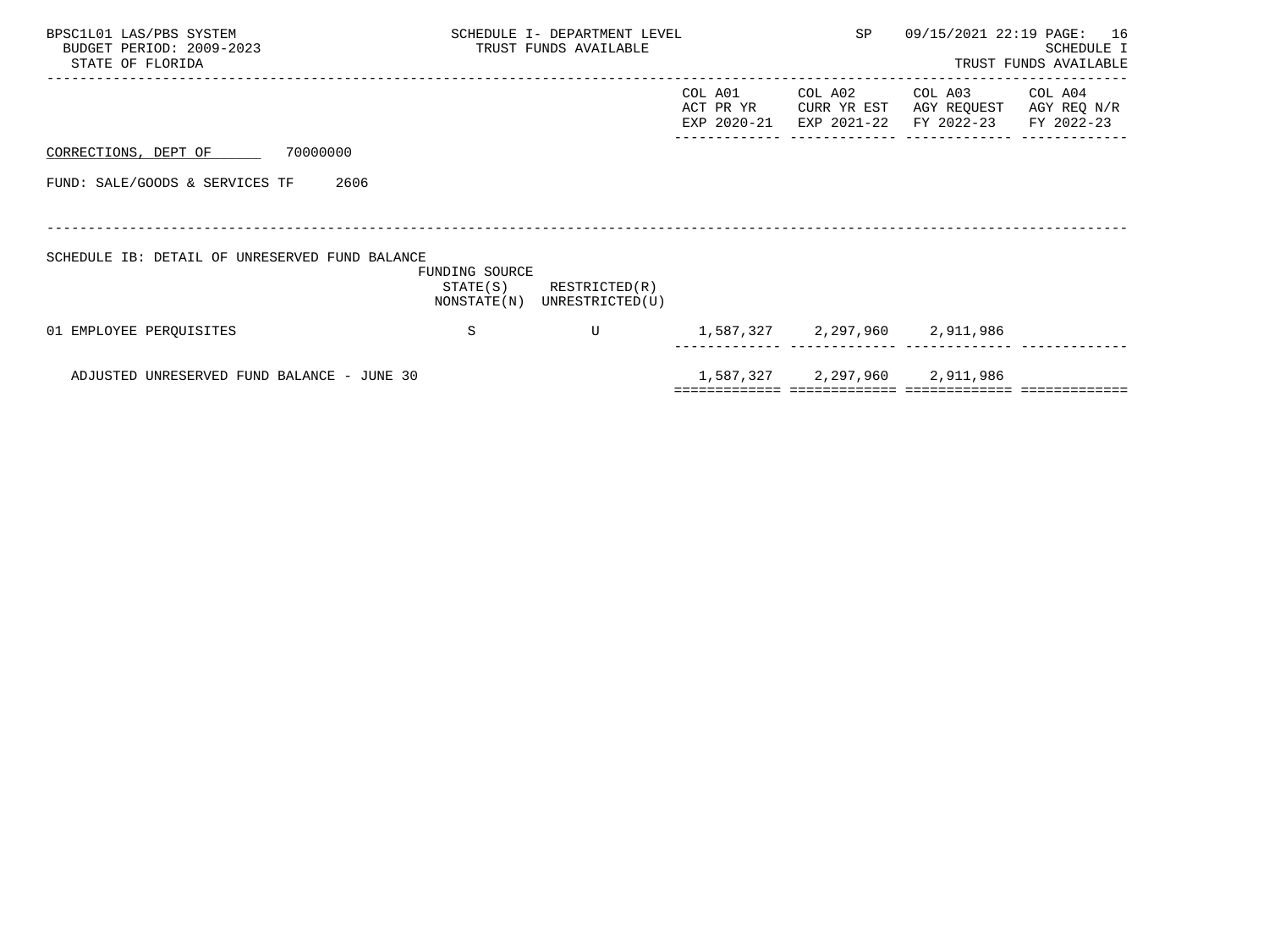| BPSC1L01 LAS/PBS SYSTEM<br>BUDGET PERIOD: 2009-2023<br>STATE OF FLORIDA | SCHEDULE I- DEPARTMENT LEVEL<br>TRUST FUNDS AVAILABLE |                                              |                                     | SP                                    | 09/15/2021 22:19 PAGE: 16            | SCHEDULE I<br>TRUST FUNDS AVAILABLE  |
|-------------------------------------------------------------------------|-------------------------------------------------------|----------------------------------------------|-------------------------------------|---------------------------------------|--------------------------------------|--------------------------------------|
|                                                                         |                                                       |                                              | COL A01<br>ACT PR YR<br>EXP 2020-21 | COL A02<br>CURR YR EST<br>EXP 2021-22 | COL A03<br>AGY REQUEST<br>FY 2022-23 | COL A04<br>AGY REQ N/R<br>FY 2022-23 |
| 70000000<br>CORRECTIONS, DEPT OF                                        |                                                       |                                              |                                     |                                       |                                      |                                      |
| FUND: SALE/GOODS & SERVICES TF<br>2606                                  |                                                       |                                              |                                     |                                       |                                      |                                      |
|                                                                         |                                                       |                                              |                                     |                                       |                                      |                                      |
| SCHEDULE IB: DETAIL OF UNRESERVED FUND BALANCE                          | FUNDING SOURCE<br>STATE(S)                            | RESTRICTED(R)<br>NONSTATE(N) UNRESTRICTED(U) |                                     |                                       |                                      |                                      |
| 01 EMPLOYEE PEROUISITES                                                 | S                                                     | U                                            |                                     |                                       | 1,587,327 2,297,960 2,911,986        |                                      |
| ADJUSTED UNRESERVED FUND BALANCE - JUNE 30                              |                                                       |                                              |                                     |                                       | 1,587,327 2,297,960 2,911,986        |                                      |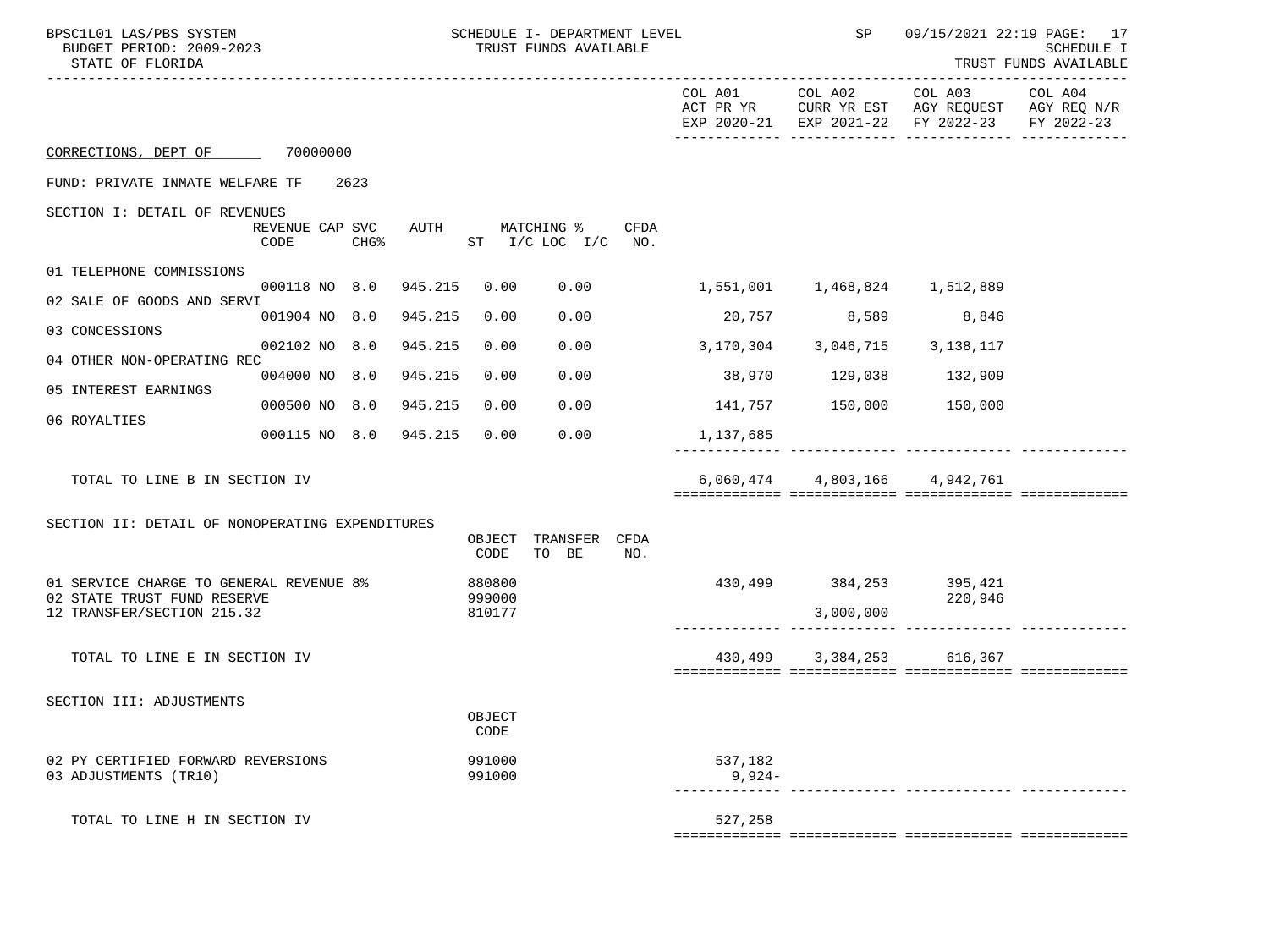| BPSC1L01 LAS/PBS SYSTEM<br>BUDGET PERIOD: 2009-2023<br>STATE OF FLORIDA |                                 |         |                  | SCHEDULE I- DEPARTMENT LEVEL<br>TRUST FUNDS AVAILABLE |      |                               | $\mathsf{SP}$                       |                                                                                                                | 09/15/2021 22:19 PAGE: 17<br>SCHEDULE I<br>TRUST FUNDS AVAILABLE |
|-------------------------------------------------------------------------|---------------------------------|---------|------------------|-------------------------------------------------------|------|-------------------------------|-------------------------------------|----------------------------------------------------------------------------------------------------------------|------------------------------------------------------------------|
|                                                                         |                                 |         |                  |                                                       |      |                               |                                     | COL A01 COL A02 COL A03<br>ACT PR YR CURR YR EST AGY REQUEST AGY REQ N/R<br>EXP 2020-21 EXP 2021-22 FY 2022-23 | COL A04<br>FY 2022-23                                            |
| CORRECTIONS, DEPT OF 70000000                                           |                                 |         |                  |                                                       |      |                               |                                     |                                                                                                                |                                                                  |
| FUND: PRIVATE INMATE WELFARE TF                                         | 2623                            |         |                  |                                                       |      |                               |                                     |                                                                                                                |                                                                  |
| SECTION I: DETAIL OF REVENUES                                           | REVENUE CAP SVC<br>CODE<br>CHG% |         |                  | AUTH MATCHING %<br>$ST$ $I/C$ $LOC$ $I/C$ $NO$ .      | CFDA |                               |                                     |                                                                                                                |                                                                  |
| 01 TELEPHONE COMMISSIONS                                                |                                 |         |                  |                                                       |      |                               |                                     |                                                                                                                |                                                                  |
| 02 SALE OF GOODS AND SERVI                                              | 000118 NO 8.0 945.215           |         | 0.00             | 0.00                                                  |      |                               | 1,551,001    1,468,824    1,512,889 |                                                                                                                |                                                                  |
| 03 CONCESSIONS                                                          | 001904 NO 8.0 945.215           |         | 0.00             | 0.00                                                  |      |                               | 20,757 8,589                        | 8,846                                                                                                          |                                                                  |
| 04 OTHER NON-OPERATING REC                                              | 002102 NO 8.0                   | 945.215 | 0.00             | 0.00                                                  |      | 3,170,304 3,046,715 3,138,117 |                                     |                                                                                                                |                                                                  |
| 05 INTEREST EARNINGS                                                    | 004000 NO 8.0 945.215           |         | 0.00             | 0.00                                                  |      |                               | 38,970 129,038 132,909              |                                                                                                                |                                                                  |
|                                                                         | 000500 NO 8.0 945.215           |         | 0.00             | 0.00                                                  |      |                               | 141,757 150,000 150,000             |                                                                                                                |                                                                  |
| 06 ROYALTIES                                                            | 000115 NO 8.0 945.215           |         | 0.00             | 0.00                                                  |      | 1,137,685                     |                                     |                                                                                                                |                                                                  |
| TOTAL TO LINE B IN SECTION IV                                           |                                 |         |                  |                                                       |      |                               | 6,060,474 4,803,166 4,942,761       |                                                                                                                |                                                                  |
| SECTION II: DETAIL OF NONOPERATING EXPENDITURES                         |                                 |         |                  |                                                       |      |                               |                                     |                                                                                                                |                                                                  |
|                                                                         |                                 |         | OBJECT<br>CODE   | TRANSFER CFDA<br>TO BE                                | NO.  |                               |                                     |                                                                                                                |                                                                  |
| 01 SERVICE CHARGE TO GENERAL REVENUE 8%<br>02 STATE TRUST FUND RESERVE  |                                 |         | 880800<br>999000 |                                                       |      |                               | 430,499 384,253 395,421             | 220,946                                                                                                        |                                                                  |
| 12 TRANSFER/SECTION 215.32                                              |                                 |         | 810177           |                                                       |      |                               | 3,000,000                           |                                                                                                                |                                                                  |
| TOTAL TO LINE E IN SECTION IV                                           |                                 |         |                  |                                                       |      | 430,499                       |                                     | 3, 384, 253 616, 367                                                                                           |                                                                  |
|                                                                         |                                 |         |                  |                                                       |      |                               |                                     |                                                                                                                |                                                                  |
| SECTION III: ADJUSTMENTS                                                |                                 |         | OBJECT<br>CODE   |                                                       |      |                               |                                     |                                                                                                                |                                                                  |
| 02 PY CERTIFIED FORWARD REVERSIONS<br>03 ADJUSTMENTS (TR10)             |                                 |         | 991000<br>991000 |                                                       |      | 537,182<br>$9,924-$           |                                     |                                                                                                                |                                                                  |
| TOTAL TO LINE H IN SECTION IV                                           |                                 |         |                  |                                                       |      | 527,258                       |                                     |                                                                                                                |                                                                  |
|                                                                         |                                 |         |                  |                                                       |      |                               |                                     |                                                                                                                |                                                                  |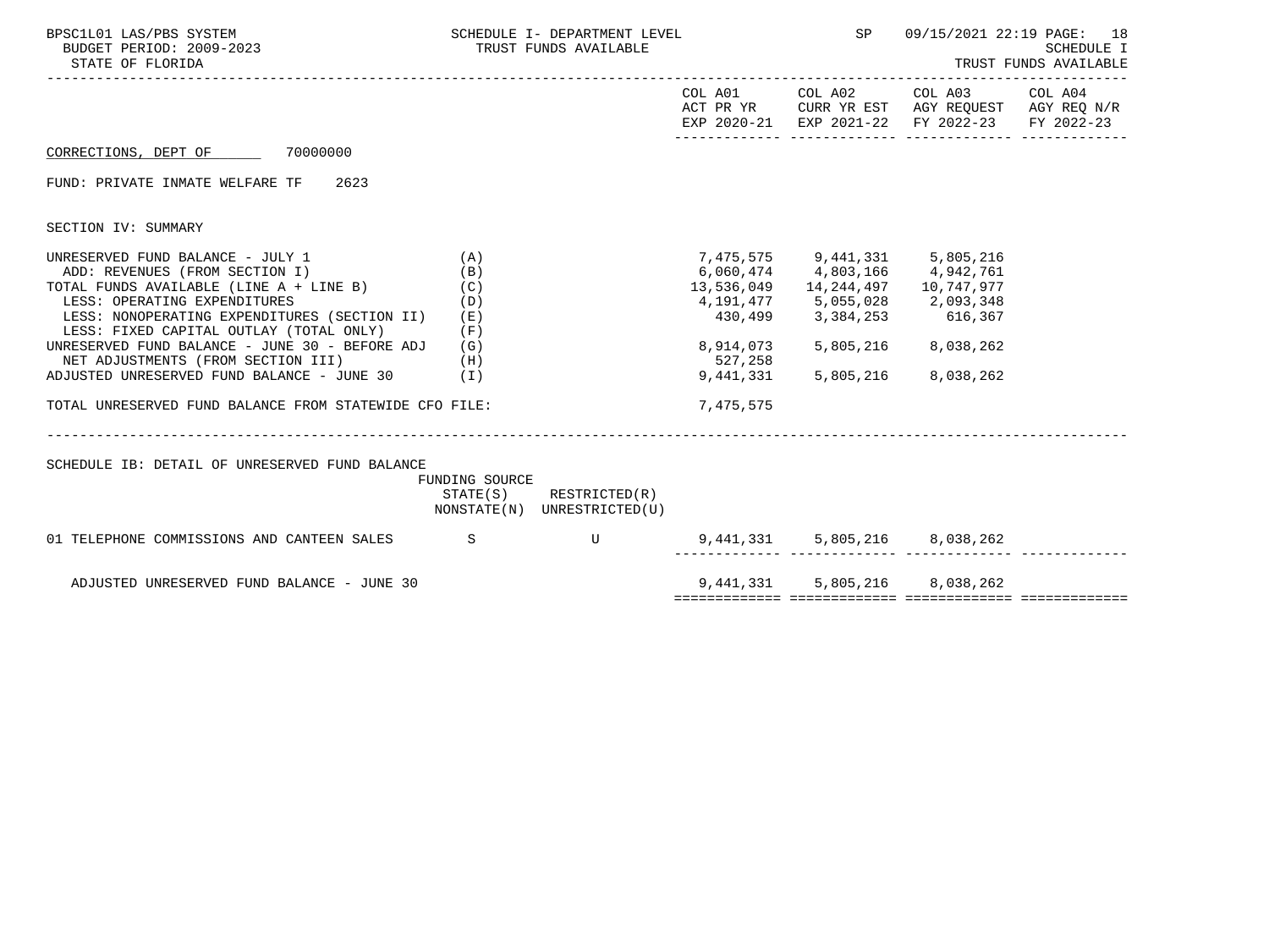| BPSC1L01 LAS/PBS SYSTEM<br>BUDGET PERIOD: 2009-2023<br>STATE OF FLORIDA                                                                                                                                                                                                                                                                                                                                                                                       | SCHEDULE I- DEPARTMENT LEVEL<br>TRUST FUNDS AVAILABLE |                                                            | <b>SP</b>                         | 09/15/2021 22:19 PAGE: 18<br>SCHEDULE I<br>TRUST FUNDS AVAILABLE                                                                                                                                                                 |                                                                                                                   |  |
|---------------------------------------------------------------------------------------------------------------------------------------------------------------------------------------------------------------------------------------------------------------------------------------------------------------------------------------------------------------------------------------------------------------------------------------------------------------|-------------------------------------------------------|------------------------------------------------------------|-----------------------------------|----------------------------------------------------------------------------------------------------------------------------------------------------------------------------------------------------------------------------------|-------------------------------------------------------------------------------------------------------------------|--|
|                                                                                                                                                                                                                                                                                                                                                                                                                                                               |                                                       |                                                            |                                   | COL A01 COL A02                                                                                                                                                                                                                  | COL A03 COL A04<br>ACT PR YR CURR YR EST AGY REQUEST AGY REQ N/R<br>EXP 2020-21 EXP 2021-22 FY 2022-23 FY 2022-23 |  |
| CORRECTIONS, DEPT OF 70000000                                                                                                                                                                                                                                                                                                                                                                                                                                 |                                                       |                                                            |                                   |                                                                                                                                                                                                                                  |                                                                                                                   |  |
| FUND: PRIVATE INMATE WELFARE TF 2623                                                                                                                                                                                                                                                                                                                                                                                                                          |                                                       |                                                            |                                   |                                                                                                                                                                                                                                  |                                                                                                                   |  |
| SECTION IV: SUMMARY                                                                                                                                                                                                                                                                                                                                                                                                                                           |                                                       |                                                            |                                   |                                                                                                                                                                                                                                  |                                                                                                                   |  |
| UNRESERVED FUND BALANCE - JULY 1<br>ADD: REVENUES (FROM SECTION I)<br>TOTAL FUNDS AVAILABLE (LINE A + LINE B)<br>LESS: OPERATING EXPENDITURES<br>LESS: NONOPERATING EXPENDITURES (SECTION II) (E)<br>LESS: FIXED CAPITAL OUTLAY (TOTAL ONLY)<br>UNRESERVED FUND BALANCE - JUNE 30 - BEFORE ADJ $(G)$<br>NET ADJUSTMENTS (FROM SECTION III)<br>(H)<br>ADJUSTED UNRESERVED FUND BALANCE - JUNE 30 (I)<br>TOTAL UNRESERVED FUND BALANCE FROM STATEWIDE CFO FILE: | (A)<br>(B)<br>(C)<br>(D)<br>(F)                       |                                                            | 527,258<br>9,441,331<br>7,475,575 | 7,475,575 9,441,331 5,805,216<br>6,060,474 4,803,166 4,942,761<br>13,536,049  14,244,497  10,747,977<br>4, 191, 477 5, 055, 028 2, 093, 348<br>430,499 3,384,253 616,367<br>8,914,073 5,805,216 8,038,262<br>5,805,216 8,038,262 |                                                                                                                   |  |
| SCHEDULE IB: DETAIL OF UNRESERVED FUND BALANCE                                                                                                                                                                                                                                                                                                                                                                                                                | FUNDING SOURCE                                        | $STATE(S)$ RESTRICTED $(R)$<br>NONSTATE(N) UNRESTRICTED(U) |                                   |                                                                                                                                                                                                                                  |                                                                                                                   |  |
| 01 TELEPHONE COMMISSIONS AND CANTEEN SALES SSENING TO BELLET TO A THEFT OF THE SET OF THE SET OF THE SET OF TH                                                                                                                                                                                                                                                                                                                                                |                                                       |                                                            |                                   | ____ ______________ ___                                                                                                                                                                                                          | 9,441,331 5,805,216 8,038,262                                                                                     |  |
| ADJUSTED UNRESERVED FUND BALANCE - JUNE 30                                                                                                                                                                                                                                                                                                                                                                                                                    |                                                       |                                                            |                                   |                                                                                                                                                                                                                                  | 9,441,331 5,805,216 8,038,262                                                                                     |  |